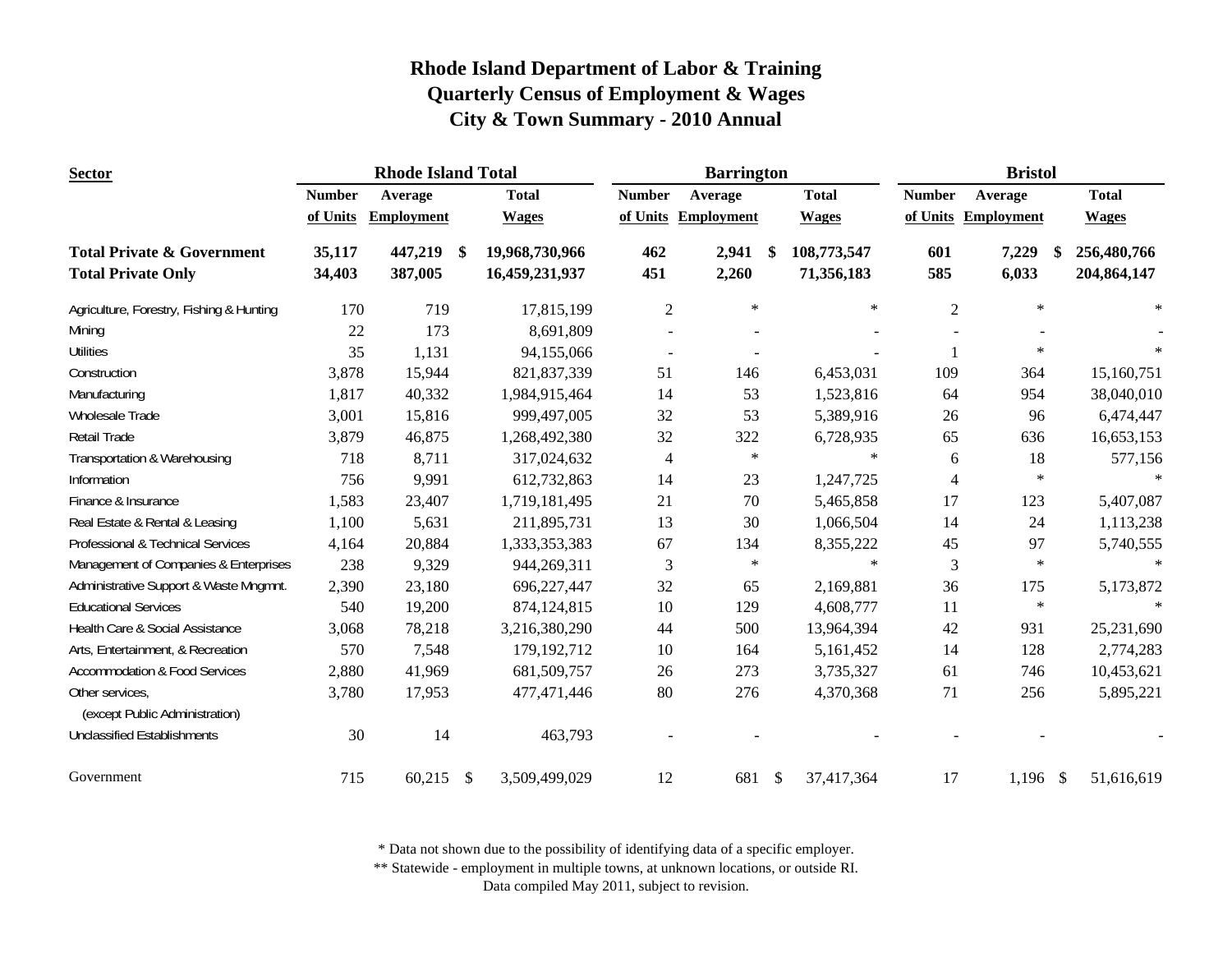| <b>Rhode Island Total</b><br><b>Sector</b>        |               |                   |                           | <b>Barrington</b> |                |                     | <b>Bristol</b> |              |                |                     |              |
|---------------------------------------------------|---------------|-------------------|---------------------------|-------------------|----------------|---------------------|----------------|--------------|----------------|---------------------|--------------|
|                                                   | <b>Number</b> | Average           |                           | <b>Total</b>      | <b>Number</b>  | Average             |                | <b>Total</b> | <b>Number</b>  | Average             | <b>Total</b> |
|                                                   | of Units      | <b>Employment</b> |                           | <b>Wages</b>      |                | of Units Employment |                | <b>Wages</b> |                | of Units Employment | <b>Wages</b> |
| <b>Total Private &amp; Government</b>             | 35,117        | 447,219           | -\$                       | 19,968,730,966    | 462            | 2,941               | - \$           | 108,773,547  | 601            | 7,229<br>\$         | 256,480,766  |
| <b>Total Private Only</b>                         | 34,403        | 387,005           |                           | 16,459,231,937    | 451            | 2,260               |                | 71,356,183   | 585            | 6,033               | 204,864,147  |
| Agriculture, Forestry, Fishing & Hunting          | 170           | 719               |                           | 17,815,199        | $\overline{2}$ | $\ast$              |                | $\ast$       | $\overline{2}$ | $\ast$              | $\ast$       |
| Mining                                            | 22            | 173               |                           | 8,691,809         |                |                     |                |              |                |                     |              |
| <b>Utilities</b>                                  | 35            | 1,131             |                           | 94,155,066        | $\blacksquare$ |                     |                |              |                | $\ast$              |              |
| Construction                                      | 3,878         | 15,944            |                           | 821,837,339       | 51             | 146                 |                | 6,453,031    | 109            | 364                 | 15,160,751   |
| Manufacturing                                     | 1,817         | 40,332            |                           | 1,984,915,464     | 14             | 53                  |                | 1,523,816    | 64             | 954                 | 38,040,010   |
| Wholesale Trade                                   | 3,001         | 15,816            |                           | 999,497,005       | 32             | 53                  |                | 5,389,916    | 26             | 96                  | 6,474,447    |
| Retail Trade                                      | 3,879         | 46,875            |                           | 1,268,492,380     | 32             | 322                 |                | 6,728,935    | 65             | 636                 | 16,653,153   |
| Transportation & Warehousing                      | 718           | 8,711             |                           | 317,024,632       | $\overline{4}$ | $\ast$              |                | $\ast$       | 6              | 18                  | 577,156      |
| Information                                       | 756           | 9,991             |                           | 612,732,863       | 14             | 23                  |                | 1,247,725    | 4              | $\ast$              |              |
| Finance & Insurance                               | 1,583         | 23,407            |                           | 1,719,181,495     | 21             | 70                  |                | 5,465,858    | 17             | 123                 | 5,407,087    |
| Real Estate & Rental & Leasing                    | 1,100         | 5,631             |                           | 211,895,731       | 13             | 30                  |                | 1,066,504    | 14             | 24                  | 1,113,238    |
| Professional & Technical Services                 | 4,164         | 20,884            |                           | 1,333,353,383     | 67             | 134                 |                | 8,355,222    | 45             | 97                  | 5,740,555    |
| Management of Companies & Enterprises             | 238           | 9,329             |                           | 944,269,311       | 3              | $\ast$              |                | $\ast$       | 3              | $\ast$              | $\star$      |
| Administrative Support & Waste Mngmnt.            | 2,390         | 23,180            |                           | 696,227,447       | 32             | 65                  |                | 2,169,881    | 36             | 175                 | 5,173,872    |
| <b>Educational Services</b>                       | 540           | 19,200            |                           | 874,124,815       | 10             | 129                 |                | 4,608,777    | 11             | $\ast$              | $\ast$       |
| Health Care & Social Assistance                   | 3,068         | 78,218            |                           | 3,216,380,290     | 44             | 500                 |                | 13,964,394   | 42             | 931                 | 25,231,690   |
| Arts, Entertainment, & Recreation                 | 570           | 7,548             |                           | 179, 192, 712     | 10             | 164                 |                | 5,161,452    | 14             | 128                 | 2,774,283    |
| <b>Accommodation &amp; Food Services</b>          | 2,880         | 41,969            |                           | 681,509,757       | 26             | 273                 |                | 3,735,327    | 61             | 746                 | 10,453,621   |
| Other services,<br>(except Public Administration) | 3,780         | 17,953            |                           | 477,471,446       | 80             | 276                 |                | 4,370,368    | 71             | 256                 | 5,895,221    |
| <b>Unclassified Establishments</b>                | 30            | 14                |                           | 463,793           |                |                     |                |              |                |                     |              |
| Government                                        | 715           | 60,215            | $\boldsymbol{\mathsf{S}}$ | 3,509,499,029     | 12             | 681                 | $\mathcal{S}$  | 37,417,364   | 17             | $1,196$ \$          | 51,616,619   |

\* Data not shown due to the possibility of identifying data of a specific employer.

\*\* Statewide - employment in multiple towns, at unknown locations, or outside RI.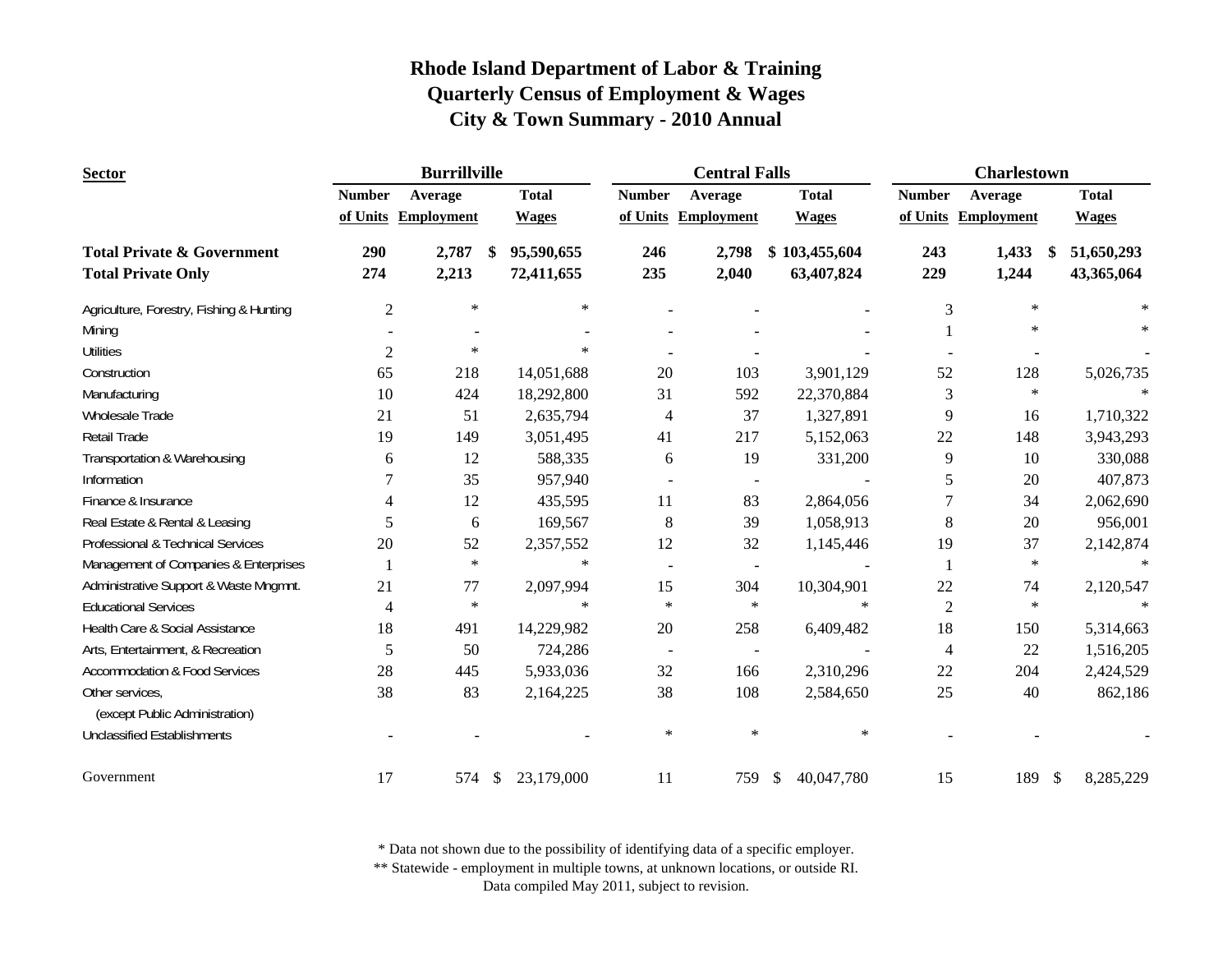| <b>Sector</b>                            | <b>Burrillville</b> |                     |    |              |                | <b>Central Falls</b>     |                  | <b>Charlestown</b> |                      |              |  |
|------------------------------------------|---------------------|---------------------|----|--------------|----------------|--------------------------|------------------|--------------------|----------------------|--------------|--|
|                                          | <b>Number</b>       | Average             |    | <b>Total</b> | <b>Number</b>  | Average                  | <b>Total</b>     | <b>Number</b>      | Average              | <b>Total</b> |  |
|                                          |                     | of Units Employment |    | <b>Wages</b> |                | of Units Employment      | <b>Wages</b>     |                    | of Units Employment  | <b>Wages</b> |  |
| <b>Total Private &amp; Government</b>    | 290                 | 2,787               | -S | 95,590,655   | 246            | 2,798                    | \$103,455,604    | 243                | 1,433<br>-S          | 51,650,293   |  |
| <b>Total Private Only</b>                | 274                 | 2,213               |    | 72,411,655   | 235            | 2,040                    | 63,407,824       | 229                | 1,244                | 43,365,064   |  |
| Agriculture, Forestry, Fishing & Hunting | $\mathfrak{2}$      | $\ast$              |    | $\ast$       |                |                          |                  | 3                  | $\ast$               | $\ast$       |  |
| Mining                                   |                     |                     |    |              |                |                          |                  |                    | $\ast$               |              |  |
| <b>Utilities</b>                         | $\overline{c}$      | $\ast$              |    | $\ast$       |                |                          |                  |                    |                      |              |  |
| Construction                             | 65                  | 218                 |    | 14,051,688   | 20             | 103                      | 3,901,129        | 52                 | 128                  | 5,026,735    |  |
| Manufacturing                            | 10                  | 424                 |    | 18,292,800   | 31             | 592                      | 22,370,884       | 3                  | $\ast$               |              |  |
| Wholesale Trade                          | 21                  | 51                  |    | 2,635,794    | $\overline{4}$ | 37                       | 1,327,891        | 9                  | 16                   | 1,710,322    |  |
| Retail Trade                             | 19                  | 149                 |    | 3,051,495    | 41             | 217                      | 5,152,063        | 22                 | 148                  | 3,943,293    |  |
| Transportation & Warehousing             | 6                   | 12                  |    | 588,335      | 6              | 19                       | 331,200          | 9                  | 10                   | 330,088      |  |
| Information                              | 7                   | 35                  |    | 957,940      |                | $\blacksquare$           |                  | 5                  | 20                   | 407,873      |  |
| Finance & Insurance                      | 4                   | 12                  |    | 435,595      | 11             | 83                       | 2,864,056        |                    | 34                   | 2,062,690    |  |
| Real Estate & Rental & Leasing           | 5                   | 6                   |    | 169,567      | $8\,$          | 39                       | 1,058,913        | 8                  | 20                   | 956,001      |  |
| Professional & Technical Services        | 20                  | 52                  |    | 2,357,552    | 12             | 32                       | 1,145,446        | 19                 | 37                   | 2,142,874    |  |
| Management of Companies & Enterprises    | $\mathbf{1}$        | $\ast$              |    | $\ast$       | $\blacksquare$ | $\overline{\phantom{a}}$ |                  | 1                  | $\ast$               | $\ast$       |  |
| Administrative Support & Waste Mngmnt.   | 21                  | 77                  |    | 2,097,994    | 15             | 304                      | 10,304,901       | 22                 | 74                   | 2,120,547    |  |
| <b>Educational Services</b>              | $\overline{4}$      | $\star$             |    | $\ast$       | $\ast$         | $\ast$                   | $\ast$           | $\overline{2}$     | $\ast$               | $\ast$       |  |
| Health Care & Social Assistance          | 18                  | 491                 |    | 14,229,982   | 20             | 258                      | 6,409,482        | 18                 | 150                  | 5,314,663    |  |
| Arts, Entertainment, & Recreation        | 5                   | 50                  |    | 724,286      | $\blacksquare$ | $\blacksquare$           |                  | 4                  | 22                   | 1,516,205    |  |
| <b>Accommodation &amp; Food Services</b> | 28                  | 445                 |    | 5,933,036    | 32             | 166                      | 2,310,296        | 22                 | 204                  | 2,424,529    |  |
| Other services,                          | 38                  | 83                  |    | 2,164,225    | 38             | 108                      | 2,584,650        | 25                 | 40                   | 862,186      |  |
| (except Public Administration)           |                     |                     |    |              |                |                          |                  |                    |                      |              |  |
| <b>Unclassified Establishments</b>       |                     |                     |    |              | $\ast$         | $\ast$                   | $\ast$           |                    |                      |              |  |
| Government                               | 17                  | 574                 | \$ | 23,179,000   | 11             | 759                      | 40,047,780<br>\$ | 15                 | 189<br>$\mathcal{S}$ | 8,285,229    |  |

\* Data not shown due to the possibility of identifying data of a specific employer.

\*\* Statewide - employment in multiple towns, at unknown locations, or outside RI.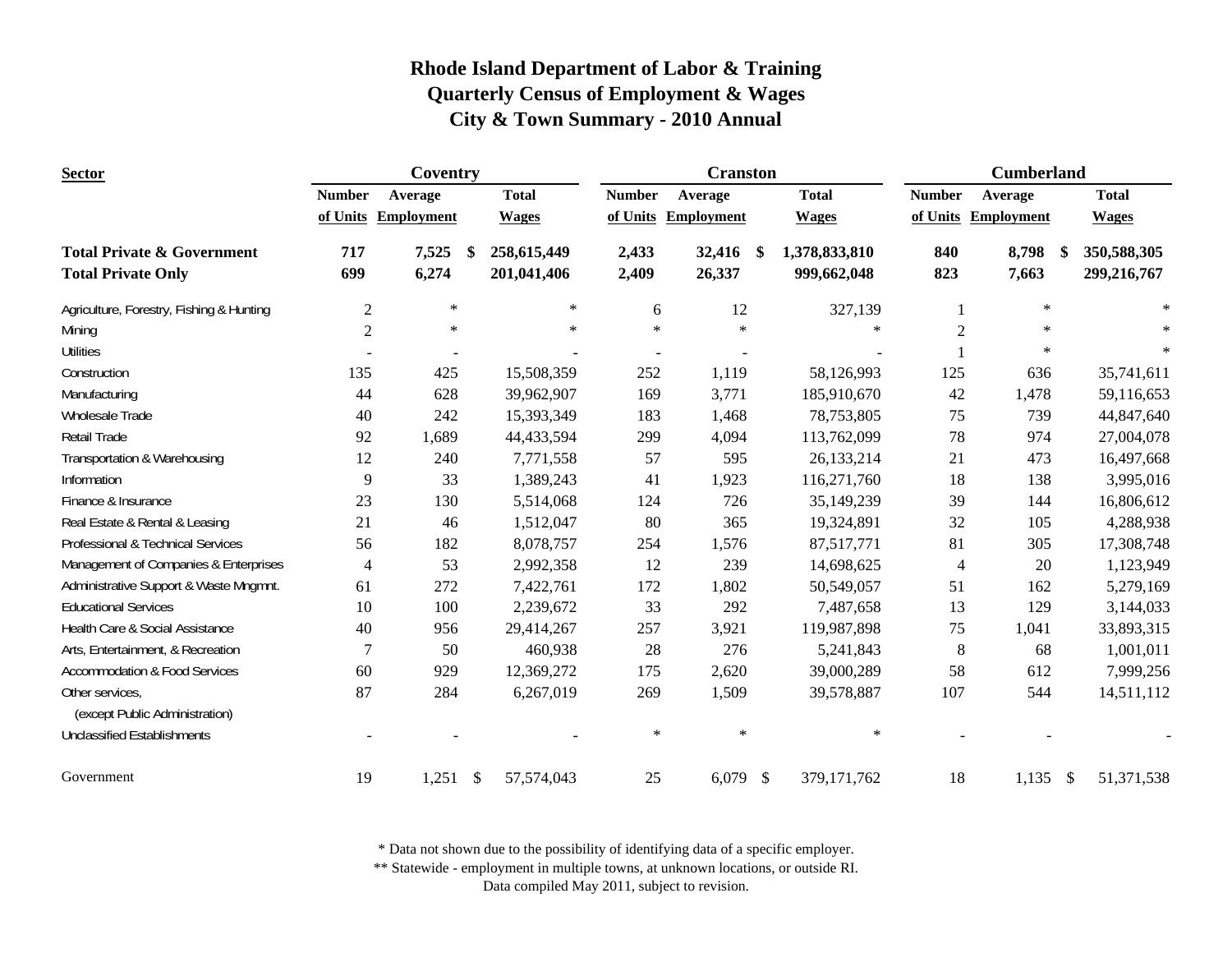| <b>Sector</b>                                                      |                | Coventry          |    |                            |                | <b>Cranston</b>   |     | <b>Cumberland</b>            |                |                       |  |                            |
|--------------------------------------------------------------------|----------------|-------------------|----|----------------------------|----------------|-------------------|-----|------------------------------|----------------|-----------------------|--|----------------------------|
|                                                                    | <b>Number</b>  | Average           |    | <b>Total</b>               | <b>Number</b>  | Average           |     | <b>Total</b>                 | <b>Number</b>  | Average               |  | <b>Total</b>               |
|                                                                    | of Units       | <b>Employment</b> |    | <b>Wages</b>               | of Units       | <b>Employment</b> |     | <b>Wages</b>                 |                | of Units Employment   |  | <b>Wages</b>               |
| <b>Total Private &amp; Government</b><br><b>Total Private Only</b> | 717<br>699     | 7,525<br>6,274    | \$ | 258,615,449<br>201,041,406 | 2,433<br>2,409 | 32,416<br>26,337  | -\$ | 1,378,833,810<br>999,662,048 | 840<br>823     | 8,798<br>-\$<br>7,663 |  | 350,588,305<br>299,216,767 |
| Agriculture, Forestry, Fishing & Hunting                           | $\mathfrak{2}$ | $\ast$            |    | $\ast$                     | 6              | 12                |     | 327,139                      |                | $\ast$                |  | $\ast$                     |
| Mining                                                             | $\mathbf{2}$   | $\ast$            |    | $\ast$                     | $\ast$         | $\ast$            |     | $\ast$                       | $\overline{2}$ | $\ast$                |  |                            |
| <b>Utilities</b>                                                   |                |                   |    |                            |                |                   |     |                              |                | $\ast$                |  | $\ast$                     |
| Construction                                                       | 135            | 425               |    | 15,508,359                 | 252            | 1,119             |     | 58,126,993                   | 125            | 636                   |  | 35,741,611                 |
| Manufacturing                                                      | 44             | 628               |    | 39,962,907                 | 169            | 3,771             |     | 185,910,670                  | 42             | 1,478                 |  | 59,116,653                 |
| Wholesale Trade                                                    | 40             | 242               |    | 15,393,349                 | 183            | 1,468             |     | 78,753,805                   | 75             | 739                   |  | 44,847,640                 |
| <b>Retail Trade</b>                                                | 92             | 1,689             |    | 44,433,594                 | 299            | 4,094             |     | 113,762,099                  | 78             | 974                   |  | 27,004,078                 |
| Transportation & Warehousing                                       | 12             | 240               |    | 7,771,558                  | 57             | 595               |     | 26,133,214                   | 21             | 473                   |  | 16,497,668                 |
| Information                                                        | 9              | 33                |    | 1,389,243                  | 41             | 1,923             |     | 116,271,760                  | 18             | 138                   |  | 3,995,016                  |
| Finance & Insurance                                                | 23             | 130               |    | 5,514,068                  | 124            | 726               |     | 35,149,239                   | 39             | 144                   |  | 16,806,612                 |
| Real Estate & Rental & Leasing                                     | 21             | 46                |    | 1,512,047                  | 80             | 365               |     | 19,324,891                   | 32             | 105                   |  | 4,288,938                  |
| Professional & Technical Services                                  | 56             | 182               |    | 8,078,757                  | 254            | 1,576             |     | 87,517,771                   | 81             | 305                   |  | 17,308,748                 |
| Management of Companies & Enterprises                              | $\overline{4}$ | 53                |    | 2,992,358                  | 12             | 239               |     | 14,698,625                   | $\overline{4}$ | 20                    |  | 1,123,949                  |
| Administrative Support & Waste Mngmnt.                             | 61             | 272               |    | 7,422,761                  | 172            | 1,802             |     | 50,549,057                   | 51             | 162                   |  | 5,279,169                  |
| <b>Educational Services</b>                                        | 10             | 100               |    | 2,239,672                  | 33             | 292               |     | 7,487,658                    | 13             | 129                   |  | 3,144,033                  |
| Health Care & Social Assistance                                    | 40             | 956               |    | 29,414,267                 | 257            | 3,921             |     | 119,987,898                  | $75\,$         | 1,041                 |  | 33,893,315                 |
| Arts, Entertainment, & Recreation                                  | 7              | 50                |    | 460,938                    | 28             | 276               |     | 5,241,843                    | $\,8\,$        | 68                    |  | 1,001,011                  |
| <b>Accommodation &amp; Food Services</b>                           | 60             | 929               |    | 12,369,272                 | 175            | 2,620             |     | 39,000,289                   | 58             | 612                   |  | 7,999,256                  |
| Other services,<br>(except Public Administration)                  | 87             | 284               |    | 6,267,019                  | 269            | 1,509             |     | 39,578,887                   | 107            | 544                   |  | 14,511,112                 |
| <b>Unclassified Establishments</b>                                 |                |                   |    |                            | $\ast$         | $\ast$            |     | $\ast$                       |                |                       |  |                            |
| Government                                                         | 19             | $1,251$ \$        |    | 57,574,043                 | 25             | $6,079$ \$        |     | 379,171,762                  | 18             | $1,135$ \$            |  | 51,371,538                 |

\* Data not shown due to the possibility of identifying data of a specific employer.

\*\* Statewide - employment in multiple towns, at unknown locations, or outside RI.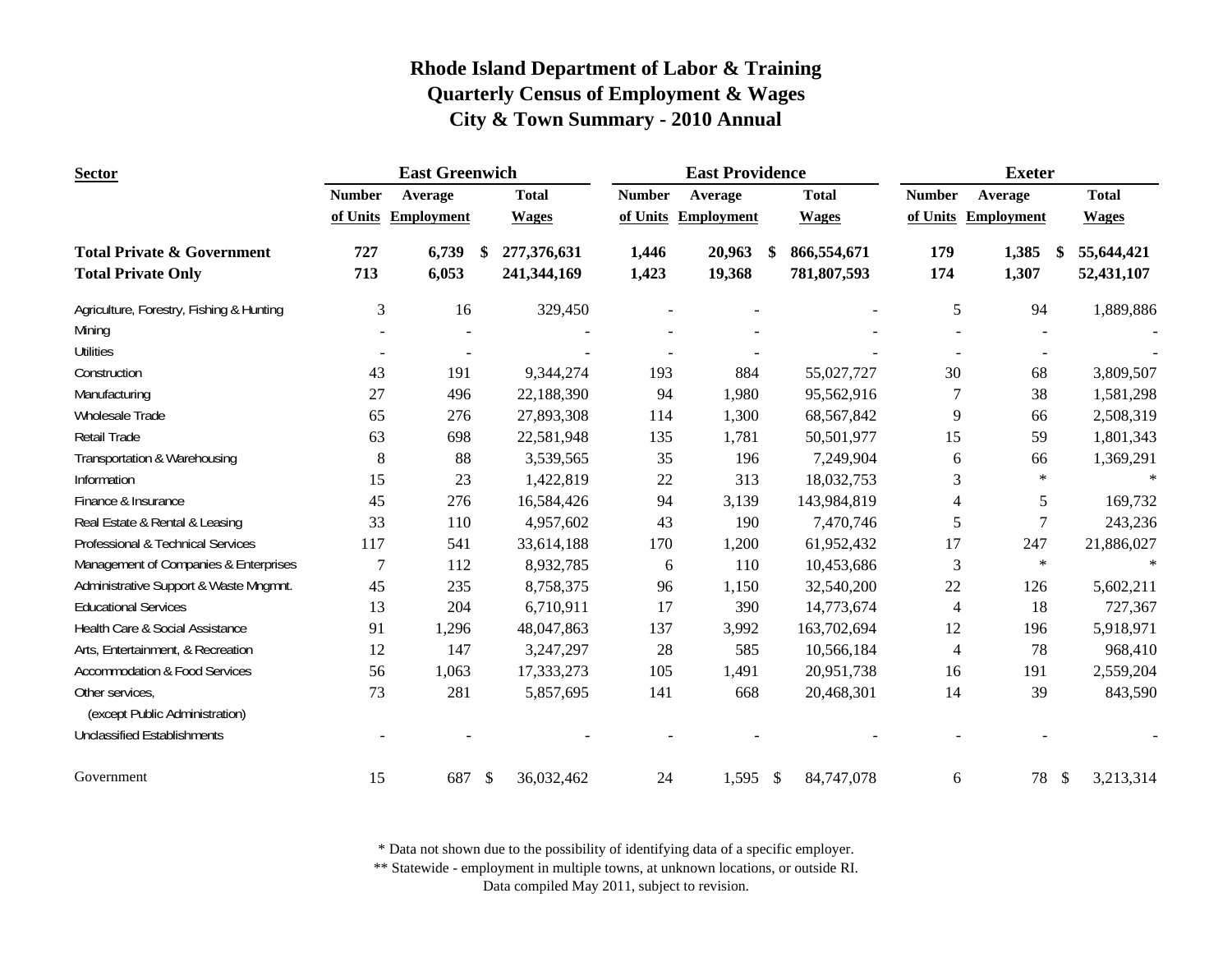| <b>Sector</b>                            |                | <b>East Greenwich</b> |                              |               | <b>East Providence</b> |                             | <b>Exeter</b>  |                     |                            |  |
|------------------------------------------|----------------|-----------------------|------------------------------|---------------|------------------------|-----------------------------|----------------|---------------------|----------------------------|--|
|                                          | <b>Number</b>  | Average               | <b>Total</b>                 | <b>Number</b> | Average                | <b>Total</b>                | <b>Number</b>  | Average             | <b>Total</b>               |  |
|                                          |                | of Units Employment   | <b>Wages</b>                 |               | of Units Employment    | <b>Wages</b>                |                | of Units Employment | <b>Wages</b>               |  |
| <b>Total Private &amp; Government</b>    | 727            | 6,739                 | 277,376,631<br><sup>\$</sup> | 1,446         | 20,963                 | 866,554,671                 | 179            | 1,385<br>-S         | 55,644,421                 |  |
| <b>Total Private Only</b>                | 713            | 6,053                 | 241,344,169                  | 1,423         | 19,368                 | 781,807,593                 | 174            | 1,307               | 52,431,107                 |  |
| Agriculture, Forestry, Fishing & Hunting | $\mathfrak{Z}$ | 16                    | 329,450                      |               |                        |                             | 5              | 94                  | 1,889,886                  |  |
| Mining                                   |                |                       |                              |               |                        |                             |                |                     |                            |  |
| <b>Utilities</b>                         |                |                       |                              |               |                        |                             |                |                     |                            |  |
| Construction                             | 43             | 191                   | 9,344,274                    | 193           | 884                    | 55,027,727                  | 30             | 68                  | 3,809,507                  |  |
| Manufacturing                            | 27             | 496                   | 22,188,390                   | 94            | 1,980                  | 95,562,916                  | 7              | 38                  | 1,581,298                  |  |
| Wholesale Trade                          | 65             | 276                   | 27,893,308                   | 114           | 1,300                  | 68,567,842                  | 9              | 66                  | 2,508,319                  |  |
| Retail Trade                             | 63             | 698                   | 22,581,948                   | 135           | 1,781                  | 50,501,977                  | 15             | 59                  | 1,801,343                  |  |
| Transportation & Warehousing             | 8              | 88                    | 3,539,565                    | 35            | 196                    | 7,249,904                   | 6              | 66                  | 1,369,291                  |  |
| Information                              | 15             | 23                    | 1,422,819                    | 22            | 313                    | 18,032,753                  | 3              | $\ast$              |                            |  |
| Finance & Insurance                      | 45             | 276                   | 16,584,426                   | 94            | 3,139                  | 143,984,819                 | 4              | 5                   | 169,732                    |  |
| Real Estate & Rental & Leasing           | 33             | 110                   | 4,957,602                    | 43            | 190                    | 7,470,746                   | 5              | 7                   | 243,236                    |  |
| Professional & Technical Services        | 117            | 541                   | 33,614,188                   | 170           | 1,200                  | 61,952,432                  | 17             | 247                 | 21,886,027                 |  |
| Management of Companies & Enterprises    | $\overline{7}$ | 112                   | 8,932,785                    | 6             | 110                    | 10,453,686                  | $\mathfrak{Z}$ | $\star$             | $\ast$                     |  |
| Administrative Support & Waste Mngmnt.   | 45             | 235                   | 8,758,375                    | 96            | 1,150                  | 32,540,200                  | 22             | 126                 | 5,602,211                  |  |
| <b>Educational Services</b>              | 13             | 204                   | 6,710,911                    | 17            | 390                    | 14,773,674                  | 4              | 18                  | 727,367                    |  |
| Health Care & Social Assistance          | 91             | 1,296                 | 48,047,863                   | 137           | 3,992                  | 163,702,694                 | 12             | 196                 | 5,918,971                  |  |
| Arts, Entertainment, & Recreation        | 12             | 147                   | 3,247,297                    | 28            | 585                    | 10,566,184                  | $\overline{4}$ | 78                  | 968,410                    |  |
| <b>Accommodation &amp; Food Services</b> | 56             | 1,063                 | 17,333,273                   | 105           | 1,491                  | 20,951,738                  | 16             | 191                 | 2,559,204                  |  |
| Other services,                          | 73             | 281                   | 5,857,695                    | 141           | 668                    | 20,468,301                  | 14             | 39                  | 843,590                    |  |
| (except Public Administration)           |                |                       |                              |               |                        |                             |                |                     |                            |  |
| <b>Unclassified Establishments</b>       |                |                       |                              |               |                        |                             |                |                     |                            |  |
| Government                               | 15             | 687                   | $\mathcal{S}$<br>36,032,462  | 24            | 1,595                  | $\mathcal{S}$<br>84,747,078 | 6              | 78                  | $\mathcal{S}$<br>3,213,314 |  |

\* Data not shown due to the possibility of identifying data of a specific employer.

\*\* Statewide - employment in multiple towns, at unknown locations, or outside RI.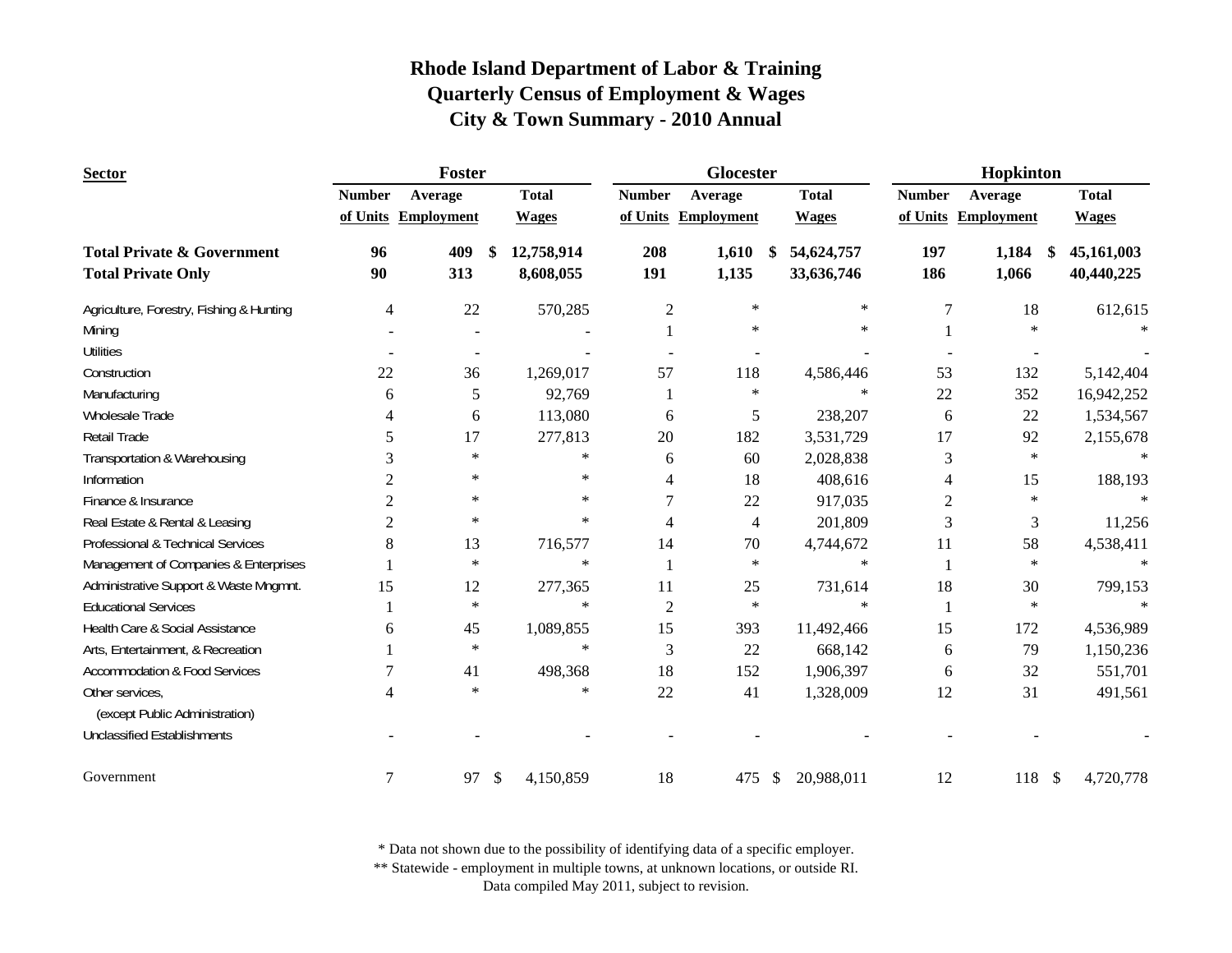| <b>Sector</b>                            | Foster         |                     |    |              |                | Glocester           |               |              | Hopkinton     |                     |              |  |
|------------------------------------------|----------------|---------------------|----|--------------|----------------|---------------------|---------------|--------------|---------------|---------------------|--------------|--|
|                                          | <b>Number</b>  | Average             |    | <b>Total</b> | <b>Number</b>  | Average             |               | <b>Total</b> | <b>Number</b> | Average             | <b>Total</b> |  |
|                                          |                | of Units Employment |    | <b>Wages</b> |                | of Units Employment |               | <b>Wages</b> |               | of Units Employment | <b>Wages</b> |  |
| <b>Total Private &amp; Government</b>    | 96             | 409                 | \$ | 12,758,914   | 208            | 1,610               | \$            | 54,624,757   | 197           | 1,184<br>-S         | 45,161,003   |  |
| <b>Total Private Only</b>                | 90             | 313                 |    | 8,608,055    | 191            | 1,135               |               | 33,636,746   | 186           | 1,066               | 40,440,225   |  |
| Agriculture, Forestry, Fishing & Hunting | 4              | 22                  |    | 570,285      | $\mathfrak{2}$ | $\ast$              |               | $\ast$       | 7             | 18                  | 612,615      |  |
| Mining                                   |                |                     |    |              |                | $\star$             |               | $\ast$       |               | $\ast$              |              |  |
| <b>Utilities</b>                         |                |                     |    |              |                |                     |               |              |               |                     |              |  |
| Construction                             | 22             | 36                  |    | 1,269,017    | 57             | 118                 |               | 4,586,446    | 53            | 132                 | 5,142,404    |  |
| Manufacturing                            | 6              | 5                   |    | 92,769       |                | $\ast$              |               | $\ast$       | 22            | 352                 | 16,942,252   |  |
| Wholesale Trade                          | 4              | 6                   |    | 113,080      | 6              | 5                   |               | 238,207      | 6             | 22                  | 1,534,567    |  |
| Retail Trade                             | 5              | 17                  |    | 277,813      | 20             | 182                 |               | 3,531,729    | 17            | 92                  | 2,155,678    |  |
| Transportation & Warehousing             | 3              | $\ast$              |    | $\ast$       | 6              | 60                  |               | 2,028,838    | 3             | $\ast$              |              |  |
| Information                              | 2              | $\ast$              |    | $\ast$       | 4              | 18                  |               | 408,616      | 4             | 15                  | 188,193      |  |
| Finance & Insurance                      | 2              | $\ast$              |    | $\ast$       | 7              | 22                  |               | 917,035      | 2             | $\ast$              | $\ast$       |  |
| Real Estate & Rental & Leasing           | 2              | $\ast$              |    | $\ast$       | 4              | 4                   |               | 201,809      | 3             | 3                   | 11,256       |  |
| Professional & Technical Services        | 8              | 13                  |    | 716,577      | 14             | 70                  |               | 4,744,672    | 11            | 58                  | 4,538,411    |  |
| Management of Companies & Enterprises    |                | $\ast$              |    | $\ast$       |                | $\ast$              |               | $\ast$       |               | $\star$             | $\ast$       |  |
| Administrative Support & Waste Mngmnt.   | 15             | 12                  |    | 277,365      | 11             | 25                  |               | 731,614      | 18            | 30                  | 799,153      |  |
| <b>Educational Services</b>              |                | $\ast$              |    | $\ast$       | $\overline{2}$ | $\ast$              |               | $\ast$       | 1             | $\ast$              | $\star$      |  |
| Health Care & Social Assistance          | 6              | 45                  |    | 1,089,855    | 15             | 393                 |               | 11,492,466   | 15            | 172                 | 4,536,989    |  |
| Arts, Entertainment, & Recreation        |                | $\ast$              |    | $\ast$       | 3              | 22                  |               | 668,142      | 6             | 79                  | 1,150,236    |  |
| <b>Accommodation &amp; Food Services</b> |                | 41                  |    | 498,368      | 18             | 152                 |               | 1,906,397    | 6             | 32                  | 551,701      |  |
| Other services,                          | 4              | $\ast$              |    | $\ast$       | 22             | 41                  |               | 1,328,009    | 12            | 31                  | 491,561      |  |
| (except Public Administration)           |                |                     |    |              |                |                     |               |              |               |                     |              |  |
| <b>Unclassified Establishments</b>       |                |                     |    |              |                |                     |               |              |               |                     |              |  |
| Government                               | $\overline{7}$ | 97                  | \$ | 4,150,859    | 18             | 475                 | $\mathcal{L}$ | 20,988,011   | 12            | 118S                | 4,720,778    |  |

\* Data not shown due to the possibility of identifying data of a specific employer.

\*\* Statewide - employment in multiple towns, at unknown locations, or outside RI.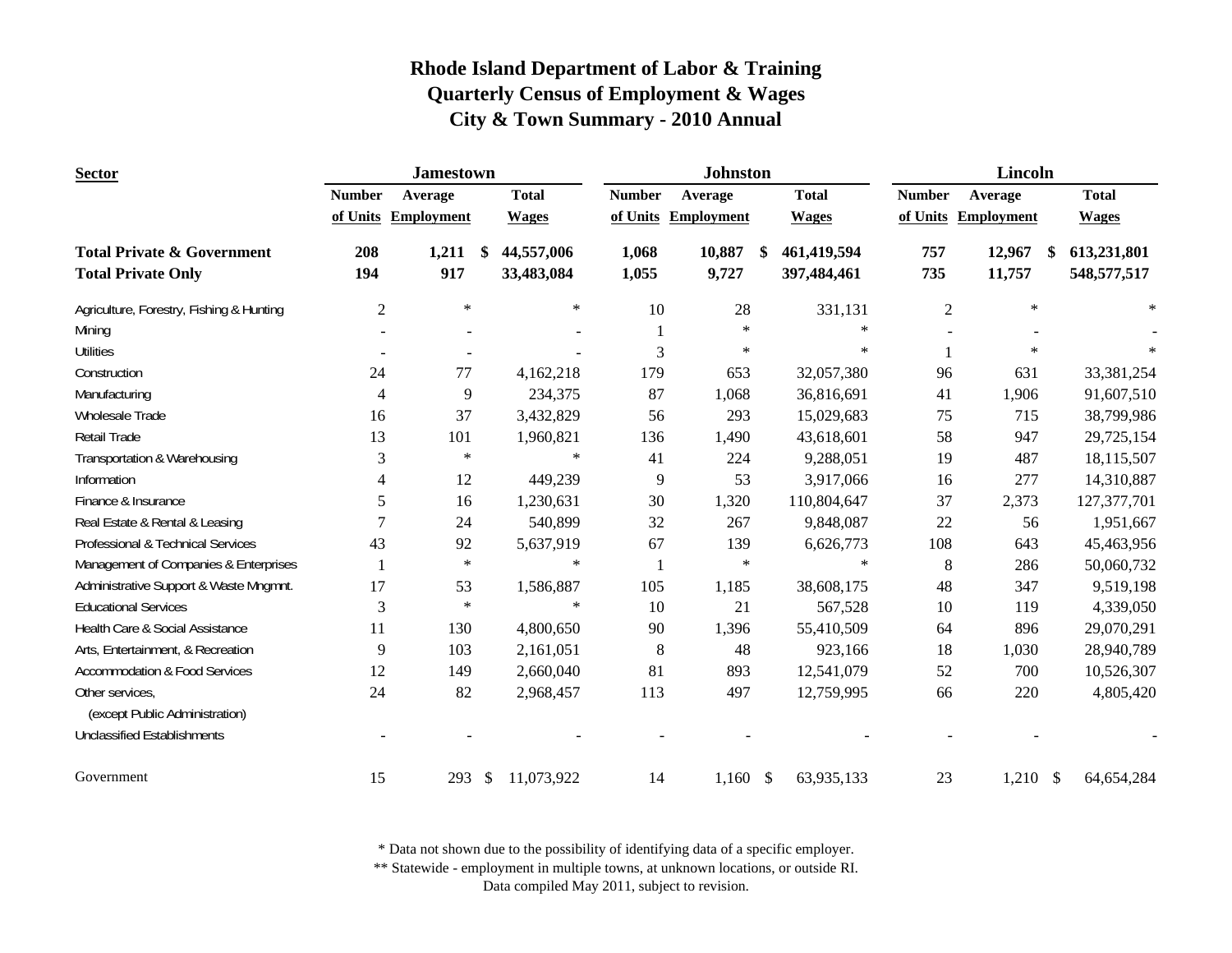| <b>Sector</b>                            |                          | <b>Jamestown</b>    |              |               | <b>Johnston</b>   |                   | Lincoln        |                     |              |  |
|------------------------------------------|--------------------------|---------------------|--------------|---------------|-------------------|-------------------|----------------|---------------------|--------------|--|
|                                          | <b>Number</b>            | Average             | <b>Total</b> | <b>Number</b> | Average           | <b>Total</b>      | <b>Number</b>  | Average             | <b>Total</b> |  |
|                                          |                          | of Units Employment | <b>Wages</b> | of Units      | <b>Employment</b> | <b>Wages</b>      |                | of Units Employment | <b>Wages</b> |  |
| <b>Total Private &amp; Government</b>    | 208                      | 1,211<br>\$         | 44,557,006   | 1,068         | 10,887            | 461,419,594<br>\$ | 757            | 12,967<br>\$        | 613,231,801  |  |
| <b>Total Private Only</b>                | 194                      | 917                 | 33,483,084   | 1,055         | 9,727             | 397,484,461       | 735            | 11,757              | 548,577,517  |  |
| Agriculture, Forestry, Fishing & Hunting | $\mathfrak{2}$           | $\ast$              | $\ast$       | 10            | 28                | 331,131           | $\overline{2}$ | $\star$             | $\ast$       |  |
| Mining                                   |                          |                     |              | $\mathbf{1}$  | $\ast$            | $\ast$            |                |                     |              |  |
| <b>Utilities</b>                         |                          |                     |              | 3             | $\ast$            | $\ast$            |                | $\ast$              |              |  |
| Construction                             | 24                       | 77                  | 4,162,218    | 179           | 653               | 32,057,380        | 96             | 631                 | 33,381,254   |  |
| Manufacturing                            | $\overline{4}$           | 9                   | 234,375      | 87            | 1,068             | 36,816,691        | 41             | 1,906               | 91,607,510   |  |
| Wholesale Trade                          | 16                       | 37                  | 3,432,829    | 56            | 293               | 15,029,683        | 75             | 715                 | 38,799,986   |  |
| <b>Retail Trade</b>                      | 13                       | 101                 | 1,960,821    | 136           | 1,490             | 43,618,601        | 58             | 947                 | 29,725,154   |  |
| Transportation & Warehousing             | 3                        | $\ast$              | $\ast$       | 41            | 224               | 9,288,051         | 19             | 487                 | 18,115,507   |  |
| Information                              | $\overline{\mathcal{A}}$ | 12                  | 449,239      | 9             | 53                | 3,917,066         | 16             | 277                 | 14,310,887   |  |
| Finance & Insurance                      | 5                        | 16                  | 1,230,631    | 30            | 1,320             | 110,804,647       | 37             | 2,373               | 127,377,701  |  |
| Real Estate & Rental & Leasing           | $\overline{7}$           | 24                  | 540,899      | 32            | 267               | 9,848,087         | 22             | 56                  | 1,951,667    |  |
| Professional & Technical Services        | 43                       | 92                  | 5,637,919    | 67            | 139               | 6,626,773         | 108            | 643                 | 45,463,956   |  |
| Management of Companies & Enterprises    |                          | $\ast$              | $\ast$       |               | $\ast$            | $\ast$            | $\,8\,$        | 286                 | 50,060,732   |  |
| Administrative Support & Waste Mngmnt.   | 17                       | 53                  | 1,586,887    | 105           | 1,185             | 38,608,175        | 48             | 347                 | 9,519,198    |  |
| <b>Educational Services</b>              | 3                        | $\star$             | $\ast$       | 10            | 21                | 567,528           | 10             | 119                 | 4,339,050    |  |
| Health Care & Social Assistance          | 11                       | 130                 | 4,800,650    | 90            | 1,396             | 55,410,509        | 64             | 896                 | 29,070,291   |  |
| Arts, Entertainment, & Recreation        | 9                        | 103                 | 2,161,051    | 8             | 48                | 923,166           | 18             | 1,030               | 28,940,789   |  |
| <b>Accommodation &amp; Food Services</b> | 12                       | 149                 | 2,660,040    | 81            | 893               | 12,541,079        | 52             | 700                 | 10,526,307   |  |
| Other services,                          | 24                       | 82                  | 2,968,457    | 113           | 497               | 12,759,995        | 66             | 220                 | 4,805,420    |  |
| (except Public Administration)           |                          |                     |              |               |                   |                   |                |                     |              |  |
| <b>Unclassified Establishments</b>       |                          |                     |              |               |                   |                   |                |                     |              |  |
| Government                               | 15                       | 293<br>\$           | 11,073,922   | 14            | $1,160$ \$        | 63,935,133        | 23             | $1,210$ \$          | 64,654,284   |  |

\* Data not shown due to the possibility of identifying data of a specific employer.

\*\* Statewide - employment in multiple towns, at unknown locations, or outside RI.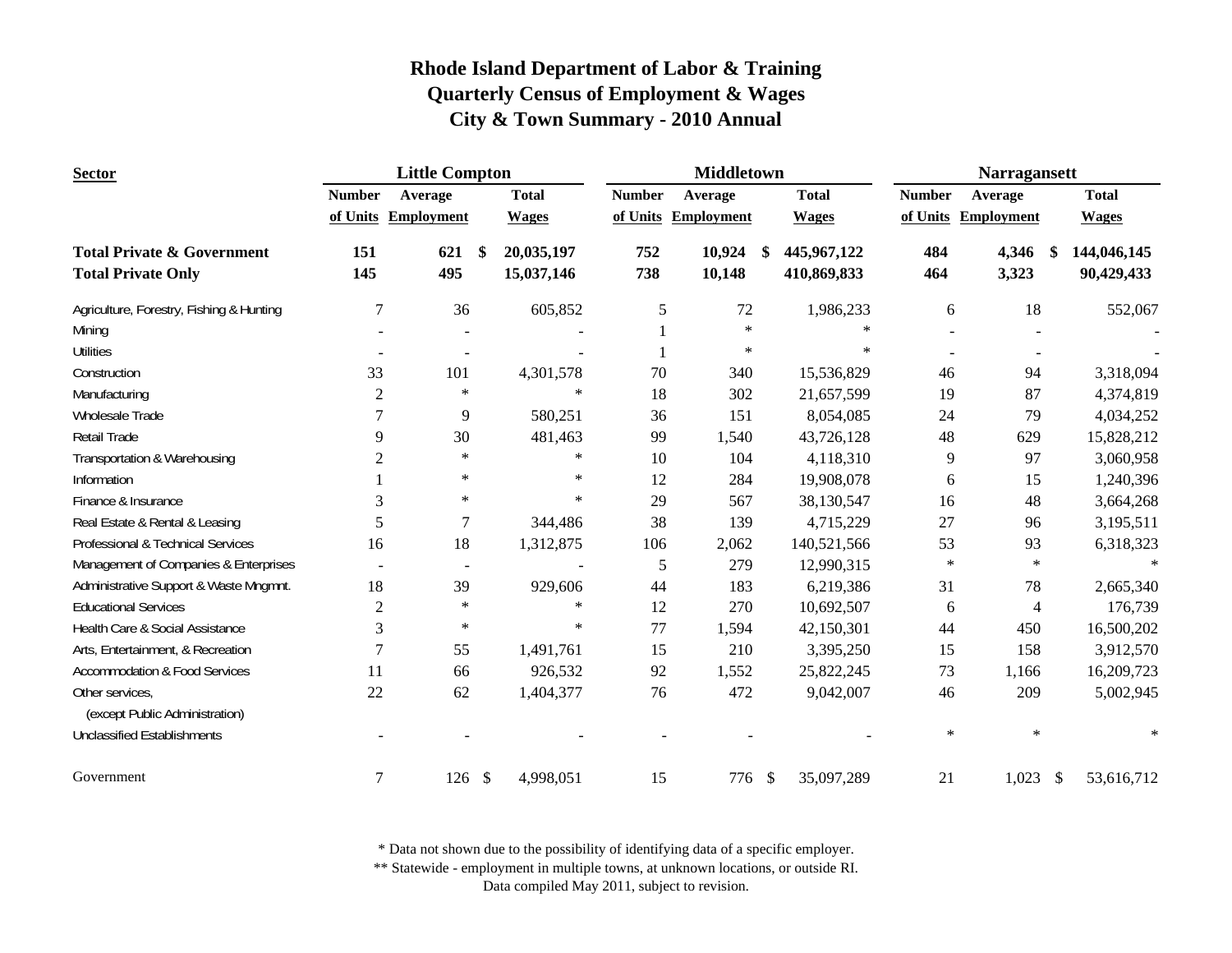| <b>Sector</b>                                     |                | <b>Little Compton</b> |              |               | <b>Middletown</b>   |                   | <b>Narragansett</b> |                        |              |  |
|---------------------------------------------------|----------------|-----------------------|--------------|---------------|---------------------|-------------------|---------------------|------------------------|--------------|--|
|                                                   | <b>Number</b>  | Average               | <b>Total</b> | <b>Number</b> | Average             | <b>Total</b>      | <b>Number</b>       | Average                | <b>Total</b> |  |
|                                                   |                | of Units Employment   | <b>Wages</b> |               | of Units Employment | <b>Wages</b>      |                     | of Units Employment    | <b>Wages</b> |  |
| <b>Total Private &amp; Government</b>             | 151            | 621<br><sup>\$</sup>  | 20,035,197   | 752           | 10,924              | 445,967,122<br>\$ | 484                 | 4,346<br><sup>\$</sup> | 144,046,145  |  |
| <b>Total Private Only</b>                         | 145            | 495                   | 15,037,146   | 738           | 10,148              | 410,869,833       | 464                 | 3,323                  | 90,429,433   |  |
| Agriculture, Forestry, Fishing & Hunting          | 7              | 36                    | 605,852      | 5             | 72                  | 1,986,233         | 6                   | 18                     | 552,067      |  |
| Mining                                            |                |                       |              |               | $\star$             | $\ast$            |                     |                        |              |  |
| <b>Utilities</b>                                  |                |                       |              |               | $\star$             | $\ast$            |                     |                        |              |  |
| Construction                                      | 33             | 101                   | 4,301,578    | 70            | 340                 | 15,536,829        | 46                  | 94                     | 3,318,094    |  |
| Manufacturing                                     | $\overline{c}$ | $\ast$                | $\star$      | 18            | 302                 | 21,657,599        | 19                  | 87                     | 4,374,819    |  |
| <b>Wholesale Trade</b>                            | 7              | 9                     | 580,251      | 36            | 151                 | 8,054,085         | 24                  | 79                     | 4,034,252    |  |
| Retail Trade                                      | 9              | 30                    | 481,463      | 99            | 1,540               | 43,726,128        | 48                  | 629                    | 15,828,212   |  |
| Transportation & Warehousing                      | $\overline{2}$ | $\ast$                | $\star$      | 10            | 104                 | 4,118,310         | 9                   | 97                     | 3,060,958    |  |
| Information                                       |                | $\ast$                | $\ast$       | 12            | 284                 | 19,908,078        | 6                   | 15                     | 1,240,396    |  |
| Finance & Insurance                               | 3              | $\ast$                | $\ast$       | 29            | 567                 | 38,130,547        | 16                  | 48                     | 3,664,268    |  |
| Real Estate & Rental & Leasing                    | 5              | 7                     | 344,486      | 38            | 139                 | 4,715,229         | 27                  | 96                     | 3,195,511    |  |
| Professional & Technical Services                 | 16             | 18                    | 1,312,875    | 106           | 2,062               | 140,521,566       | 53                  | 93                     | 6,318,323    |  |
| Management of Companies & Enterprises             |                | $\blacksquare$        |              | 5             | 279                 | 12,990,315        | $\ast$              | $\star$                |              |  |
| Administrative Support & Waste Mngmnt.            | 18             | 39                    | 929,606      | 44            | 183                 | 6,219,386         | 31                  | 78                     | 2,665,340    |  |
| <b>Educational Services</b>                       | $\overline{c}$ | $\ast$                | $\ast$       | 12            | 270                 | 10,692,507        | 6                   | $\overline{4}$         | 176,739      |  |
| Health Care & Social Assistance                   | 3              | $\ast$                | $\star$      | 77            | 1,594               | 42,150,301        | 44                  | 450                    | 16,500,202   |  |
| Arts, Entertainment, & Recreation                 | 7              | 55                    | 1,491,761    | 15            | 210                 | 3,395,250         | 15                  | 158                    | 3,912,570    |  |
| <b>Accommodation &amp; Food Services</b>          | 11             | 66                    | 926,532      | 92            | 1,552               | 25,822,245        | 73                  | 1,166                  | 16,209,723   |  |
| Other services.<br>(except Public Administration) | 22             | 62                    | 1,404,377    | 76            | 472                 | 9,042,007         | 46                  | 209                    | 5,002,945    |  |
| <b>Unclassified Establishments</b>                |                |                       |              |               |                     |                   | $\ast$              | $\ast$                 | $\ast$       |  |
| Government                                        | 7              | $\mathcal{S}$<br>126  | 4,998,051    | 15            | 776 \$              | 35,097,289        | 21                  | 1,023<br>\$            | 53,616,712   |  |

\* Data not shown due to the possibility of identifying data of a specific employer.

\*\* Statewide - employment in multiple towns, at unknown locations, or outside RI.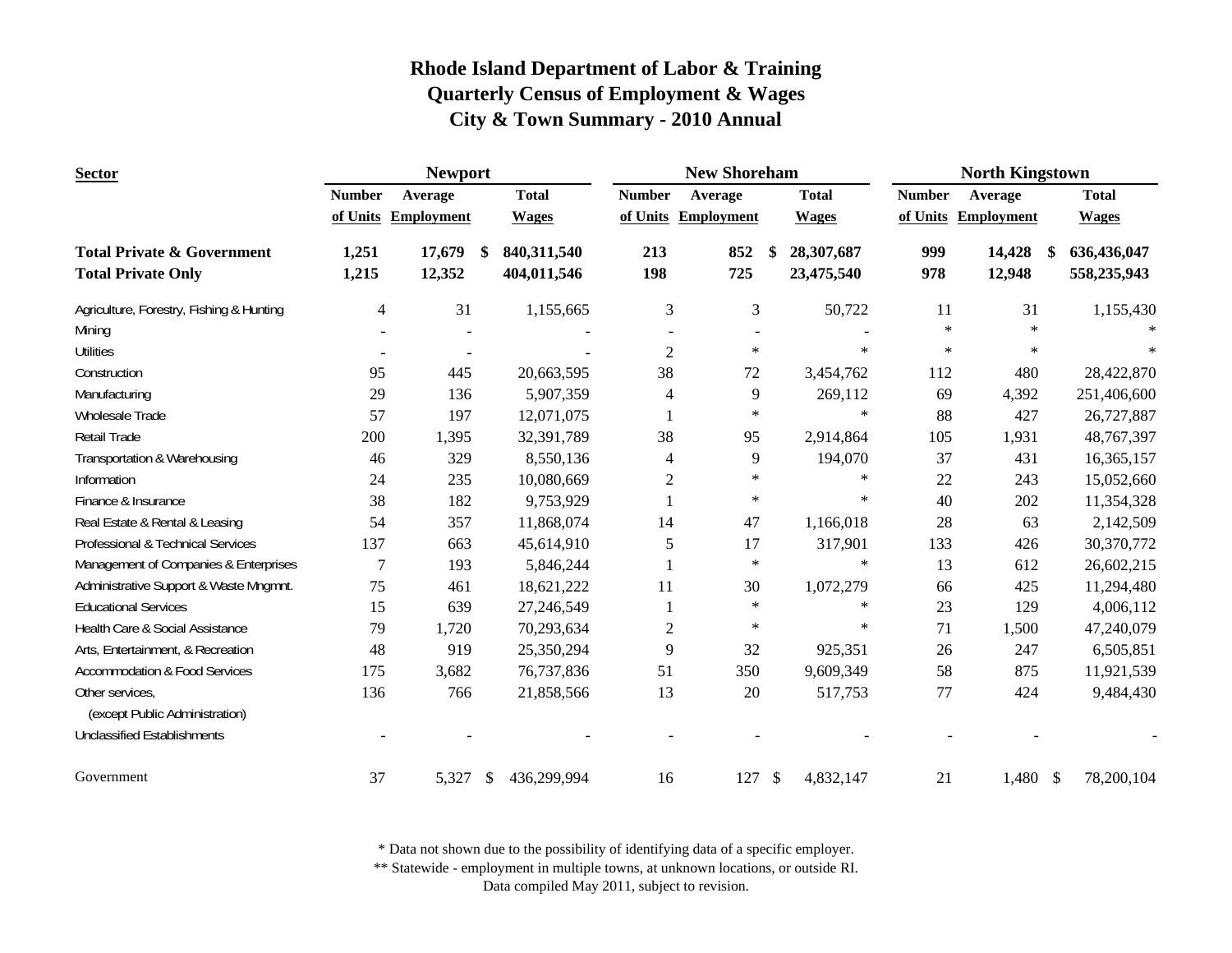| <b>Sector</b>                            |                | <b>Newport</b>      |                              |                | <b>New Shoreham</b> |                            | <b>North Kingstown</b> |                   |                              |  |
|------------------------------------------|----------------|---------------------|------------------------------|----------------|---------------------|----------------------------|------------------------|-------------------|------------------------------|--|
|                                          | <b>Number</b>  | Average             | <b>Total</b>                 | <b>Number</b>  | Average             | <b>Total</b>               | <b>Number</b>          | Average           | <b>Total</b>                 |  |
|                                          |                | of Units Employment | <b>Wages</b>                 |                | of Units Employment | <b>Wages</b>               | of Units               | <b>Employment</b> | <b>Wages</b>                 |  |
| <b>Total Private &amp; Government</b>    | 1,251          | 17,679              | 840,311,540<br><sup>\$</sup> | 213            | 852                 | 28,307,687<br>\$           | 999                    | 14,428            | 636,436,047<br><sup>\$</sup> |  |
| <b>Total Private Only</b>                | 1,215          | 12,352              | 404,011,546                  | 198            | 725                 | 23,475,540                 | 978                    | 12,948            | 558,235,943                  |  |
| Agriculture, Forestry, Fishing & Hunting | $\overline{4}$ | 31                  | 1,155,665                    | 3              | 3                   | 50,722                     | 11                     | 31                | 1,155,430                    |  |
| Mining                                   |                |                     |                              |                |                     |                            | $\ast$                 | $\ast$            |                              |  |
| <b>Utilities</b>                         |                | $\blacksquare$      |                              | $\overline{2}$ | $\ast$              | $\ast$                     | $\ast$                 | $\ast$            | $\ast$                       |  |
| Construction                             | 95             | 445                 | 20,663,595                   | 38             | 72                  | 3,454,762                  | 112                    | 480               | 28,422,870                   |  |
| Manufacturing                            | 29             | 136                 | 5,907,359                    | 4              | 9                   | 269,112                    | 69                     | 4,392             | 251,406,600                  |  |
| Wholesale Trade                          | 57             | 197                 | 12,071,075                   |                | $\ast$              | $\ast$                     | 88                     | 427               | 26,727,887                   |  |
| Retail Trade                             | 200            | 1,395               | 32,391,789                   | 38             | 95                  | 2,914,864                  | 105                    | 1,931             | 48,767,397                   |  |
| Transportation & Warehousing             | 46             | 329                 | 8,550,136                    | $\overline{4}$ | 9                   | 194,070                    | 37                     | 431               | 16,365,157                   |  |
| Information                              | 24             | 235                 | 10,080,669                   | $\mathfrak{2}$ | $\ast$              | $\ast$                     | 22                     | 243               | 15,052,660                   |  |
| Finance & Insurance                      | 38             | 182                 | 9,753,929                    |                | $\ast$              | $\ast$                     | 40                     | 202               | 11,354,328                   |  |
| Real Estate & Rental & Leasing           | 54             | 357                 | 11,868,074                   | 14             | 47                  | 1,166,018                  | 28                     | 63                | 2,142,509                    |  |
| Professional & Technical Services        | 137            | 663                 | 45,614,910                   | 5              | 17                  | 317,901                    | 133                    | 426               | 30,370,772                   |  |
| Management of Companies & Enterprises    | $\overline{7}$ | 193                 | 5,846,244                    |                | $\star$             | $\ast$                     | 13                     | 612               | 26,602,215                   |  |
| Administrative Support & Waste Mngmnt.   | 75             | 461                 | 18,621,222                   | 11             | 30                  | 1,072,279                  | 66                     | 425               | 11,294,480                   |  |
| <b>Educational Services</b>              | 15             | 639                 | 27,246,549                   |                | $\star$             | $\ast$                     | 23                     | 129               | 4,006,112                    |  |
| Health Care & Social Assistance          | 79             | 1,720               | 70,293,634                   | $\overline{c}$ | $\ast$              | $\ast$                     | 71                     | 1,500             | 47,240,079                   |  |
| Arts, Entertainment, & Recreation        | 48             | 919                 | 25,350,294                   | 9              | 32                  | 925,351                    | 26                     | 247               | 6,505,851                    |  |
| <b>Accommodation &amp; Food Services</b> | 175            | 3,682               | 76,737,836                   | 51             | 350                 | 9,609,349                  | 58                     | 875               | 11,921,539                   |  |
| Other services,                          | 136            | 766                 | 21,858,566                   | 13             | 20                  | 517,753                    | 77                     | 424               | 9,484,430                    |  |
| (except Public Administration)           |                |                     |                              |                |                     |                            |                        |                   |                              |  |
| <b>Unclassified Establishments</b>       |                |                     |                              |                |                     |                            |                        |                   |                              |  |
| Government                               | 37             | 5,327               | 436,299,994<br>-S            | 16             | 127                 | $\mathcal{S}$<br>4,832,147 | 21                     | 1,480 \$          | 78,200,104                   |  |

\* Data not shown due to the possibility of identifying data of a specific employer.

\*\* Statewide - employment in multiple towns, at unknown locations, or outside RI.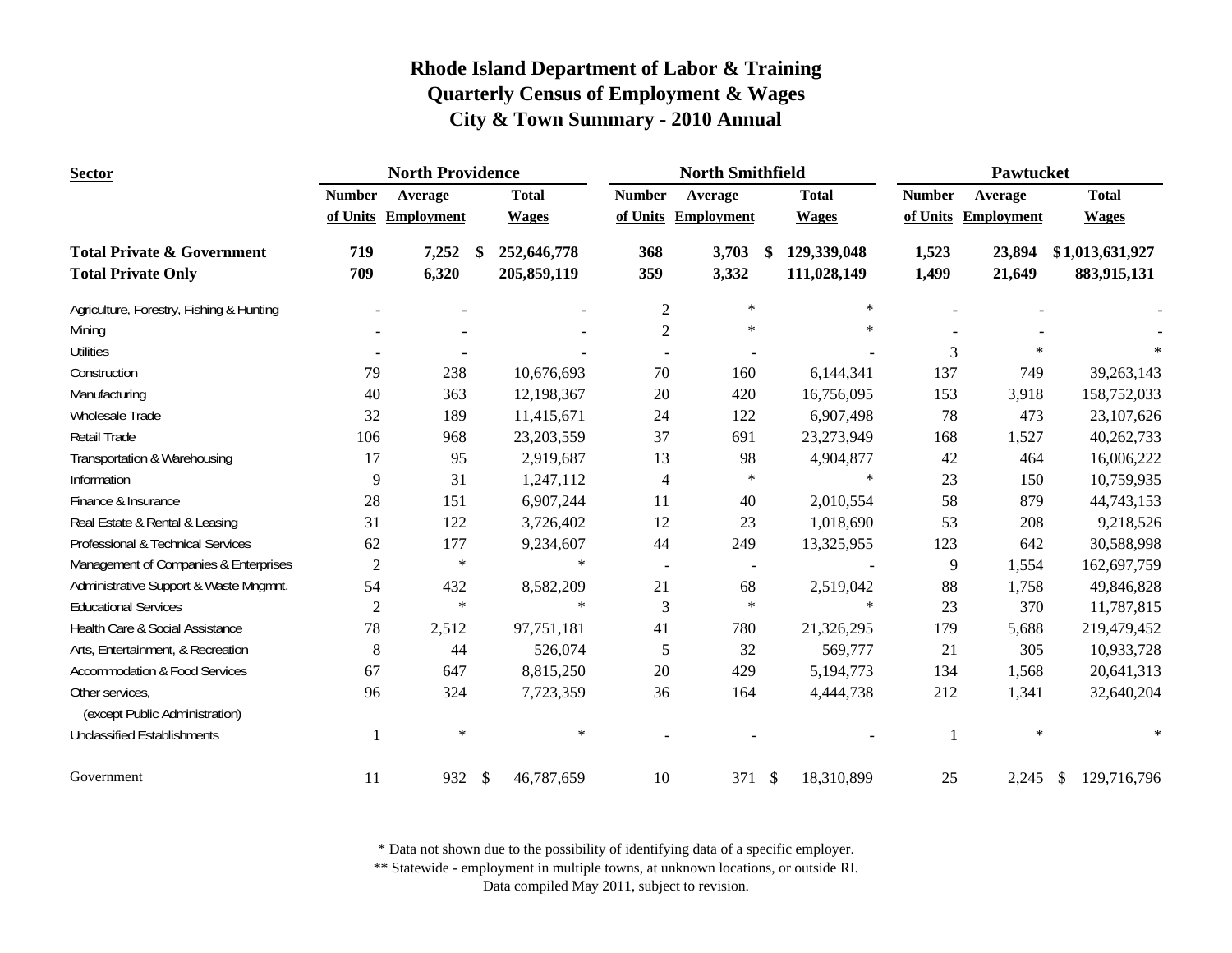| <b>Sector</b>                                     |                | <b>North Providence</b> |                             |                                    | <b>North Smithfield</b>  |                             | Pawtucket     |                     |                 |  |
|---------------------------------------------------|----------------|-------------------------|-----------------------------|------------------------------------|--------------------------|-----------------------------|---------------|---------------------|-----------------|--|
|                                                   | <b>Number</b>  | Average                 | <b>Total</b>                | <b>Number</b>                      | Average                  | <b>Total</b>                | <b>Number</b> | Average             | <b>Total</b>    |  |
|                                                   |                | of Units Employment     | <b>Wages</b>                |                                    | of Units Employment      | <b>Wages</b>                |               | of Units Employment | <b>Wages</b>    |  |
| <b>Total Private &amp; Government</b>             | 719            | 7,252                   | 252,646,778<br>-S           | 368                                | 3,703                    | -\$<br>129,339,048          | 1,523         | 23,894              | \$1,013,631,927 |  |
| <b>Total Private Only</b>                         | 709            | 6,320                   | 205,859,119                 | 359                                | 3,332                    | 111,028,149                 | 1,499         | 21,649              | 883,915,131     |  |
| Agriculture, Forestry, Fishing & Hunting          |                |                         |                             | $\mathfrak{2}$                     | $\ast$                   | $\ast$                      |               |                     |                 |  |
| Mining                                            |                |                         |                             | $\overline{2}$                     | $\ast$                   | $\ast$                      |               |                     |                 |  |
| <b>Utilities</b>                                  |                |                         |                             |                                    |                          |                             | 3             | $\ast$              |                 |  |
| Construction                                      | 79             | 238                     | 10,676,693                  | 70                                 | 160                      | 6,144,341                   | 137           | 749                 | 39,263,143      |  |
| Manufacturing                                     | 40             | 363                     | 12,198,367                  | $20\,$                             | 420                      | 16,756,095                  | 153           | 3,918               | 158,752,033     |  |
| Wholesale Trade                                   | 32             | 189                     | 11,415,671                  | 24                                 | 122                      | 6,907,498                   | 78            | 473                 | 23,107,626      |  |
| Retail Trade                                      | 106            | 968                     | 23,203,559                  | 37                                 | 691                      | 23,273,949                  | 168           | 1,527               | 40,262,733      |  |
| Transportation & Warehousing                      | 17             | 95                      | 2,919,687                   | 13                                 | 98                       | 4,904,877                   | 42            | 464                 | 16,006,222      |  |
| Information                                       | 9              | 31                      | 1,247,112                   | 4                                  | $\ast$                   | $\ast$                      | 23            | 150                 | 10,759,935      |  |
| Finance & Insurance                               | 28             | 151                     | 6,907,244                   | 11                                 | 40                       | 2,010,554                   | 58            | 879                 | 44,743,153      |  |
| Real Estate & Rental & Leasing                    | 31             | 122                     | 3,726,402                   | 12                                 | 23                       | 1,018,690                   | 53            | 208                 | 9,218,526       |  |
| Professional & Technical Services                 | 62             | 177                     | 9,234,607                   | 44                                 | 249                      | 13,325,955                  | 123           | 642                 | 30,588,998      |  |
| Management of Companies & Enterprises             | $\overline{c}$ | $\ast$                  |                             | $\ast$<br>$\overline{\phantom{a}}$ | $\overline{\phantom{a}}$ |                             | 9             | 1,554               | 162,697,759     |  |
| Administrative Support & Waste Mngmnt.            | 54             | 432                     | 8,582,209                   | 21                                 | 68                       | 2,519,042                   | 88            | 1,758               | 49,846,828      |  |
| <b>Educational Services</b>                       | $\overline{2}$ | $\ast$                  |                             | $\ast$<br>3                        | $\ast$                   | $\ast$                      | 23            | 370                 | 11,787,815      |  |
| Health Care & Social Assistance                   | 78             | 2,512                   | 97,751,181                  | 41                                 | 780                      | 21,326,295                  | 179           | 5,688               | 219,479,452     |  |
| Arts, Entertainment, & Recreation                 | 8              | 44                      | 526,074                     | 5                                  | 32                       | 569,777                     | 21            | 305                 | 10,933,728      |  |
| <b>Accommodation &amp; Food Services</b>          | 67             | 647                     | 8,815,250                   | 20                                 | 429                      | 5,194,773                   | 134           | 1,568               | 20,641,313      |  |
| Other services,<br>(except Public Administration) | 96             | 324                     | 7,723,359                   | 36                                 | 164                      | 4,444,738                   | 212           | 1,341               | 32,640,204      |  |
| <b>Unclassified Establishments</b>                |                | $\ast$                  | $\ast$                      |                                    |                          |                             |               | $\ast$              | $\ast$          |  |
| Government                                        | 11             | 932                     | $\mathcal{S}$<br>46,787,659 | 10                                 | 371                      | $\mathcal{S}$<br>18,310,899 | 25            | $2,245$ \$          | 129,716,796     |  |

\* Data not shown due to the possibility of identifying data of a specific employer.

\*\* Statewide - employment in multiple towns, at unknown locations, or outside RI.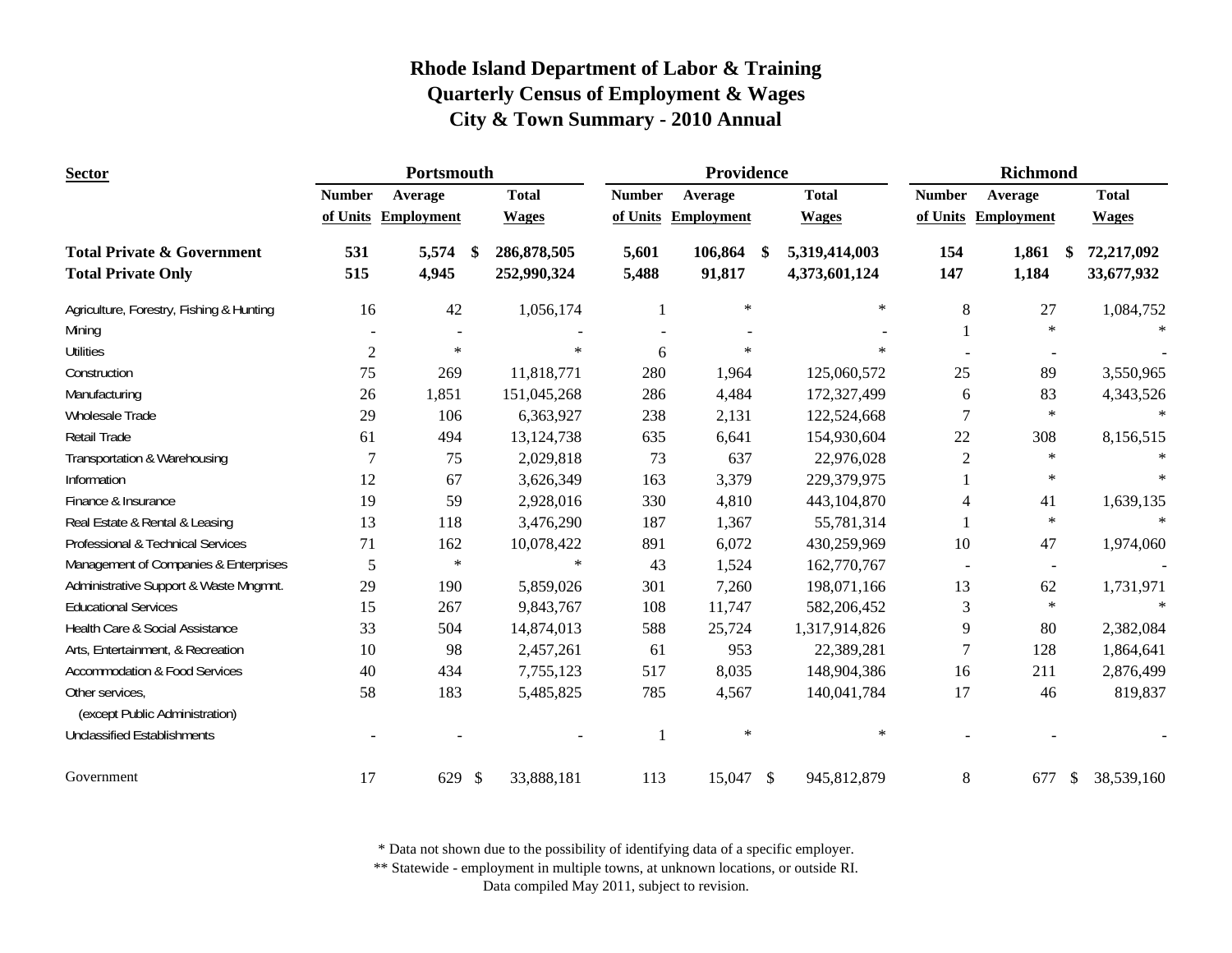| <b>Sector</b>                            |                | Portsmouth          |              |               | Providence          |                                | <b>Richmond</b> |                          |                    |  |
|------------------------------------------|----------------|---------------------|--------------|---------------|---------------------|--------------------------------|-----------------|--------------------------|--------------------|--|
|                                          | <b>Number</b>  | Average             | <b>Total</b> | <b>Number</b> | Average             | <b>Total</b>                   | <b>Number</b>   | Average                  | <b>Total</b>       |  |
|                                          |                | of Units Employment | <b>Wages</b> |               | of Units Employment | <b>Wages</b>                   |                 | of Units Employment      | <b>Wages</b>       |  |
| <b>Total Private &amp; Government</b>    | 531            | 5,574<br>-\$        | 286,878,505  | 5,601         | 106,864             | 5,319,414,003<br><sup>\$</sup> | 154             | 1,861                    | 72,217,092<br>- \$ |  |
| <b>Total Private Only</b>                | 515            | 4,945               | 252,990,324  | 5,488         | 91,817              | 4,373,601,124                  | 147             | 1,184                    | 33,677,932         |  |
| Agriculture, Forestry, Fishing & Hunting | 16             | 42                  | 1,056,174    |               | $\ast$              | $\ast$                         | 8               | 27                       | 1,084,752          |  |
| Mining                                   |                |                     |              |               |                     |                                |                 | $\ast$                   |                    |  |
| <b>Utilities</b>                         | $\overline{2}$ | $\ast$              | $\star$      | 6             | $\mathcal{A}$       | $\ast$                         |                 |                          |                    |  |
| Construction                             | 75             | 269                 | 11,818,771   | 280           | 1,964               | 125,060,572                    | 25              | 89                       | 3,550,965          |  |
| Manufacturing                            | 26             | 1,851               | 151,045,268  | 286           | 4,484               | 172,327,499                    | 6               | 83                       | 4,343,526          |  |
| Wholesale Trade                          | 29             | 106                 | 6,363,927    | 238           | 2,131               | 122,524,668                    | 7               | $\ast$                   | $\ast$             |  |
| <b>Retail Trade</b>                      | 61             | 494                 | 13, 124, 738 | 635           | 6,641               | 154,930,604                    | 22              | 308                      | 8,156,515          |  |
| Transportation & Warehousing             |                | 75                  | 2,029,818    | 73            | 637                 | 22,976,028                     | $\overline{2}$  | $\ast$                   |                    |  |
| Information                              | 12             | 67                  | 3,626,349    | 163           | 3,379               | 229,379,975                    |                 | $\ast$                   | $\ast$             |  |
| Finance & Insurance                      | 19             | 59                  | 2,928,016    | 330           | 4,810               | 443,104,870                    |                 | 41                       | 1,639,135          |  |
| Real Estate & Rental & Leasing           | 13             | 118                 | 3,476,290    | 187           | 1,367               | 55,781,314                     |                 | $\ast$                   | $\ast$             |  |
| Professional & Technical Services        | 71             | 162                 | 10,078,422   | 891           | 6,072               | 430,259,969                    | 10              | 47                       | 1,974,060          |  |
| Management of Companies & Enterprises    | 5              | $\ast$              | $\star$      | 43            | 1,524               | 162,770,767                    |                 | $\overline{\phantom{a}}$ |                    |  |
| Administrative Support & Waste Mngmnt.   | 29             | 190                 | 5,859,026    | 301           | 7,260               | 198,071,166                    | 13              | 62                       | 1,731,971          |  |
| <b>Educational Services</b>              | 15             | 267                 | 9,843,767    | 108           | 11,747              | 582,206,452                    | 3               | $\ast$                   | $\ast$             |  |
| Health Care & Social Assistance          | 33             | 504                 | 14,874,013   | 588           | 25,724              | 1,317,914,826                  | 9               | 80                       | 2,382,084          |  |
| Arts, Entertainment, & Recreation        | 10             | 98                  | 2,457,261    | 61            | 953                 | 22,389,281                     | 7               | 128                      | 1,864,641          |  |
| <b>Accommodation &amp; Food Services</b> | 40             | 434                 | 7,755,123    | 517           | 8,035               | 148,904,386                    | 16              | 211                      | 2,876,499          |  |
| Other services,                          | 58             | 183                 | 5,485,825    | 785           | 4,567               | 140,041,784                    | 17              | 46                       | 819,837            |  |
| (except Public Administration)           |                |                     |              |               |                     |                                |                 |                          |                    |  |
| <b>Unclassified Establishments</b>       |                |                     |              |               | $\ast$              | $\ast$                         |                 |                          |                    |  |
| Government                               | 17             | 629 \$              | 33,888,181   | 113           | 15,047 \$           | 945,812,879                    | 8               | 677                      | \$<br>38,539,160   |  |

\* Data not shown due to the possibility of identifying data of a specific employer.

\*\* Statewide - employment in multiple towns, at unknown locations, or outside RI.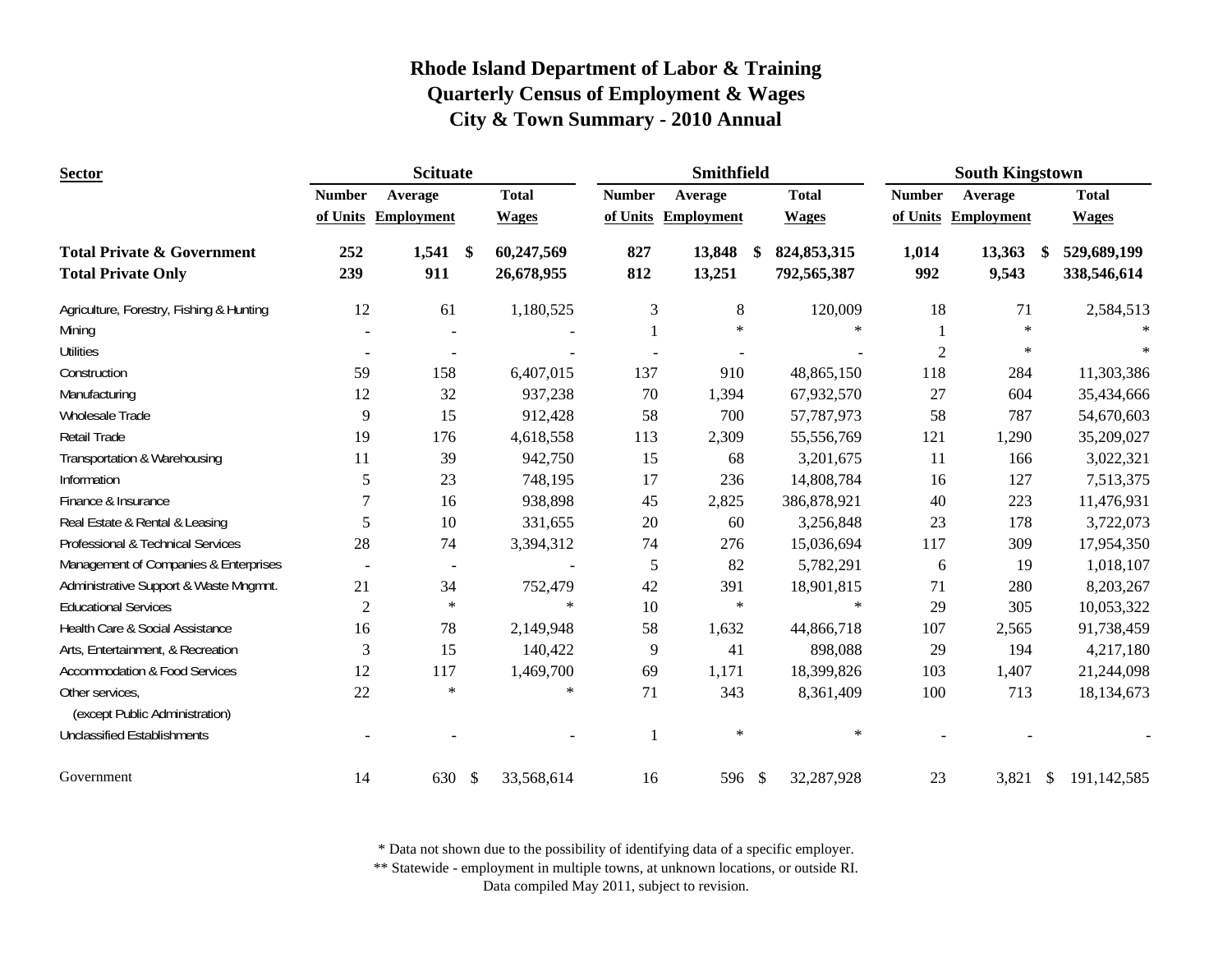| <b>Sector</b>                                                      |                | <b>Scituate</b>      |                          |                | Smithfield          |                                     | <b>South Kingstown</b> |                     |                                  |  |
|--------------------------------------------------------------------|----------------|----------------------|--------------------------|----------------|---------------------|-------------------------------------|------------------------|---------------------|----------------------------------|--|
|                                                                    | <b>Number</b>  | Average              | <b>Total</b>             | <b>Number</b>  | Average             | <b>Total</b>                        | <b>Number</b>          | Average             | <b>Total</b>                     |  |
|                                                                    |                | of Units Employment  | <b>Wages</b>             |                | of Units Employment | <b>Wages</b>                        |                        | of Units Employment | <b>Wages</b>                     |  |
| <b>Total Private &amp; Government</b><br><b>Total Private Only</b> | 252<br>239     | $1,541$ \$<br>911    | 60,247,569<br>26,678,955 | 827<br>812     | 13,848<br>13,251    | 824, 853, 315<br>-\$<br>792,565,387 | 1,014<br>992           | 13,363<br>9,543     | 529,689,199<br>\$<br>338,546,614 |  |
|                                                                    |                |                      |                          |                |                     |                                     |                        |                     |                                  |  |
| Agriculture, Forestry, Fishing & Hunting                           | 12             | 61                   | 1,180,525                | 3              | 8<br>$\ast$         | 120,009<br>$\star$                  | 18                     | 71<br>$\star$       | 2,584,513                        |  |
| Mining                                                             |                |                      |                          |                |                     |                                     |                        | $\ast$              |                                  |  |
| <b>Utilities</b>                                                   | $\blacksquare$ |                      |                          |                |                     |                                     | $\overline{c}$         |                     |                                  |  |
| Construction                                                       | 59             | 158                  | 6,407,015                | 137            | 910                 | 48,865,150                          | 118                    | 284                 | 11,303,386                       |  |
| Manufacturing                                                      | 12             | 32                   | 937,238                  | 70             | 1,394               | 67,932,570                          | 27                     | 604                 | 35,434,666                       |  |
| Wholesale Trade                                                    | 9              | 15                   | 912,428                  | 58             | 700                 | 57,787,973                          | 58                     | 787                 | 54,670,603                       |  |
| <b>Retail Trade</b>                                                | 19             | 176                  | 4,618,558                | 113            | 2,309               | 55,556,769                          | 121                    | 1,290               | 35,209,027                       |  |
| Transportation & Warehousing                                       | 11             | 39                   | 942,750                  | 15             | 68                  | 3,201,675                           | 11                     | 166                 | 3,022,321                        |  |
| Information                                                        | 5              | 23                   | 748,195                  | 17             | 236                 | 14,808,784                          | 16                     | 127                 | 7,513,375                        |  |
| Finance & Insurance                                                | 7              | 16                   | 938,898                  | 45             | 2,825               | 386,878,921                         | 40                     | 223                 | 11,476,931                       |  |
| Real Estate & Rental & Leasing                                     | 5              | 10                   | 331,655                  | 20             | 60                  | 3,256,848                           | 23                     | 178                 | 3,722,073                        |  |
| Professional & Technical Services                                  | 28             | 74                   | 3,394,312                | 74             | 276                 | 15,036,694                          | 117                    | 309                 | 17,954,350                       |  |
| Management of Companies & Enterprises                              |                | $\blacksquare$       | $\blacksquare$           | 5              | 82                  | 5,782,291                           | 6                      | 19                  | 1,018,107                        |  |
| Administrative Support & Waste Mngmnt.                             | 21             | 34                   | 752,479                  | 42             | 391                 | 18,901,815                          | 71                     | 280                 | 8,203,267                        |  |
| <b>Educational Services</b>                                        | $\overline{2}$ | $\ast$               | $\ast$                   | 10             | $\ast$              | $\ast$                              | 29                     | 305                 | 10,053,322                       |  |
| Health Care & Social Assistance                                    | 16             | 78                   | 2,149,948                | 58             | 1,632               | 44,866,718                          | 107                    | 2,565               | 91,738,459                       |  |
| Arts, Entertainment, & Recreation                                  | 3              | 15                   | 140,422                  | $\overline{9}$ | 41                  | 898,088                             | 29                     | 194                 | 4,217,180                        |  |
| <b>Accommodation &amp; Food Services</b>                           | 12             | 117                  | 1,469,700                | 69             | 1,171               | 18,399,826                          | 103                    | 1,407               | 21,244,098                       |  |
| Other services,<br>(except Public Administration)                  | 22             | $\ast$               | $\star$                  | 71             | 343                 | 8,361,409                           | 100                    | 713                 | 18,134,673                       |  |
| <b>Unclassified Establishments</b>                                 |                |                      |                          | $\mathbf{1}$   | $\ast$              | $\ast$                              |                        |                     |                                  |  |
| Government                                                         | 14             | 630<br>$\mathcal{S}$ | 33,568,614               | 16             | 596 \$              | 32,287,928                          | 23                     | $3,821$ \$          | 191,142,585                      |  |

\* Data not shown due to the possibility of identifying data of a specific employer.

\*\* Statewide - employment in multiple towns, at unknown locations, or outside RI.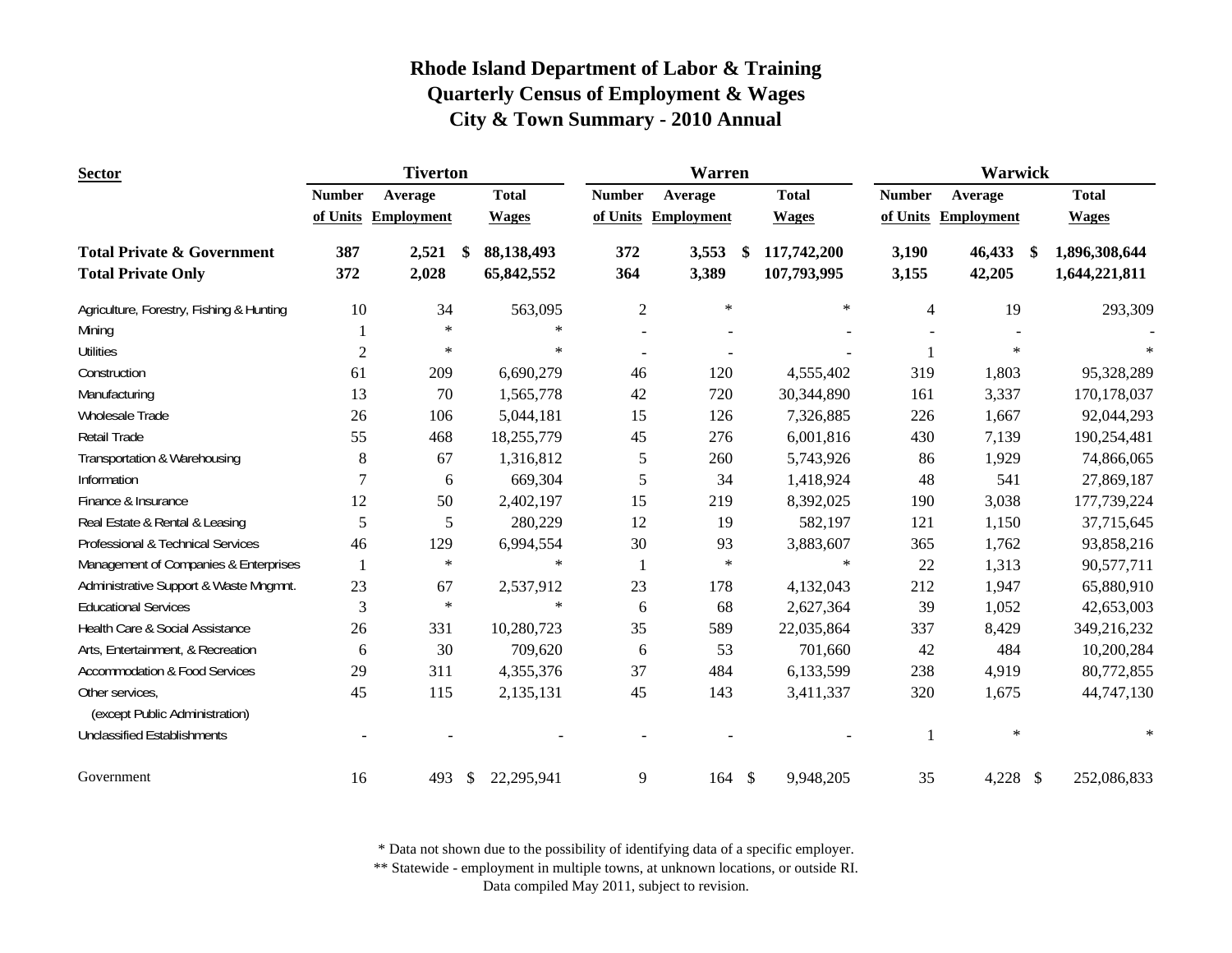| <b>Sector</b>                                                      | <b>Tiverton</b> |                   |              |                          | <b>Warren</b>            |                     | Warwick |                            |                |                     |     |                                |
|--------------------------------------------------------------------|-----------------|-------------------|--------------|--------------------------|--------------------------|---------------------|---------|----------------------------|----------------|---------------------|-----|--------------------------------|
|                                                                    | <b>Number</b>   | Average           |              | <b>Total</b>             | <b>Number</b>            | Average             |         | <b>Total</b>               | <b>Number</b>  | Average             |     | <b>Total</b>                   |
|                                                                    | of Units        | <b>Employment</b> |              | <b>Wages</b>             |                          | of Units Employment |         | <b>Wages</b>               |                | of Units Employment |     | <b>Wages</b>                   |
| <b>Total Private &amp; Government</b><br><b>Total Private Only</b> | 387<br>372      | 2,521<br>2,028    | \$           | 88,138,493<br>65,842,552 | 372<br>364               | 3,553<br>3,389      | \$      | 117,742,200<br>107,793,995 | 3,190<br>3,155 | 46,433<br>42,205    | -\$ | 1,896,308,644<br>1,644,221,811 |
|                                                                    |                 |                   |              |                          |                          |                     |         |                            |                |                     |     |                                |
| Agriculture, Forestry, Fishing & Hunting                           | 10              | 34                |              | 563,095                  | $\overline{c}$           | $\ast$              |         | $\ast$                     | $\overline{4}$ | 19                  |     | 293,309                        |
| Mining                                                             | 1               | $\ast$            |              | $\ast$                   | $\overline{\phantom{a}}$ |                     |         |                            |                |                     |     |                                |
| <b>Utilities</b>                                                   | $\overline{2}$  | $\ast$            |              | $\ast$                   | $\blacksquare$           | $\blacksquare$      |         |                            |                | $\ast$              |     |                                |
| Construction                                                       | 61              | 209               |              | 6,690,279                | 46                       | 120                 |         | 4,555,402                  | 319            | 1,803               |     | 95,328,289                     |
| Manufacturing                                                      | 13              | 70                |              | 1,565,778                | 42                       | 720                 |         | 30,344,890                 | 161            | 3,337               |     | 170,178,037                    |
| Wholesale Trade                                                    | 26              | 106               |              | 5,044,181                | 15                       | 126                 |         | 7,326,885                  | 226            | 1,667               |     | 92,044,293                     |
| <b>Retail Trade</b>                                                | 55              | 468               |              | 18,255,779               | 45                       | 276                 |         | 6,001,816                  | 430            | 7,139               |     | 190,254,481                    |
| Transportation & Warehousing                                       | 8               | 67                |              | 1,316,812                | 5                        | 260                 |         | 5,743,926                  | 86             | 1,929               |     | 74,866,065                     |
| Information                                                        | 7               | 6                 |              | 669,304                  | 5                        | 34                  |         | 1,418,924                  | 48             | 541                 |     | 27,869,187                     |
| Finance & Insurance                                                | 12              | 50                |              | 2,402,197                | 15                       | 219                 |         | 8,392,025                  | 190            | 3,038               |     | 177,739,224                    |
| Real Estate & Rental & Leasing                                     | 5               | 5                 |              | 280,229                  | 12                       | 19                  |         | 582,197                    | 121            | 1,150               |     | 37,715,645                     |
| Professional & Technical Services                                  | 46              | 129               |              | 6,994,554                | 30                       | 93                  |         | 3,883,607                  | 365            | 1,762               |     | 93,858,216                     |
| Management of Companies & Enterprises                              | $\mathbf{1}$    | $\ast$            |              | $\ast$                   | 1                        | $\ast$              |         | $\ast$                     | 22             | 1,313               |     | 90,577,711                     |
| Administrative Support & Waste Mngmnt.                             | 23              | 67                |              | 2,537,912                | 23                       | 178                 |         | 4,132,043                  | 212            | 1,947               |     | 65,880,910                     |
| <b>Educational Services</b>                                        | 3               | $\ast$            |              | $\ast$                   | 6                        | 68                  |         | 2,627,364                  | 39             | 1,052               |     | 42,653,003                     |
| Health Care & Social Assistance                                    | 26              | 331               |              | 10,280,723               | 35                       | 589                 |         | 22,035,864                 | 337            | 8,429               |     | 349,216,232                    |
| Arts, Entertainment, & Recreation                                  | 6               | 30                |              | 709,620                  | 6                        | 53                  |         | 701,660                    | 42             | 484                 |     | 10,200,284                     |
| <b>Accommodation &amp; Food Services</b>                           | 29              | 311               |              | 4,355,376                | 37                       | 484                 |         | 6,133,599                  | 238            | 4,919               |     | 80,772,855                     |
| Other services,<br>(except Public Administration)                  | 45              | 115               |              | 2,135,131                | 45                       | 143                 |         | 3,411,337                  | 320            | 1,675               |     | 44,747,130                     |
| <b>Unclassified Establishments</b>                                 |                 |                   |              |                          |                          |                     |         |                            |                | $\ast$              |     | $\ast$                         |
| Government                                                         | 16              | 493               | $\mathbb{S}$ | 22,295,941               | 9                        | 164                 | \$      | 9,948,205                  | 35             | 4,228 \$            |     | 252,086,833                    |

\* Data not shown due to the possibility of identifying data of a specific employer.

\*\* Statewide - employment in multiple towns, at unknown locations, or outside RI.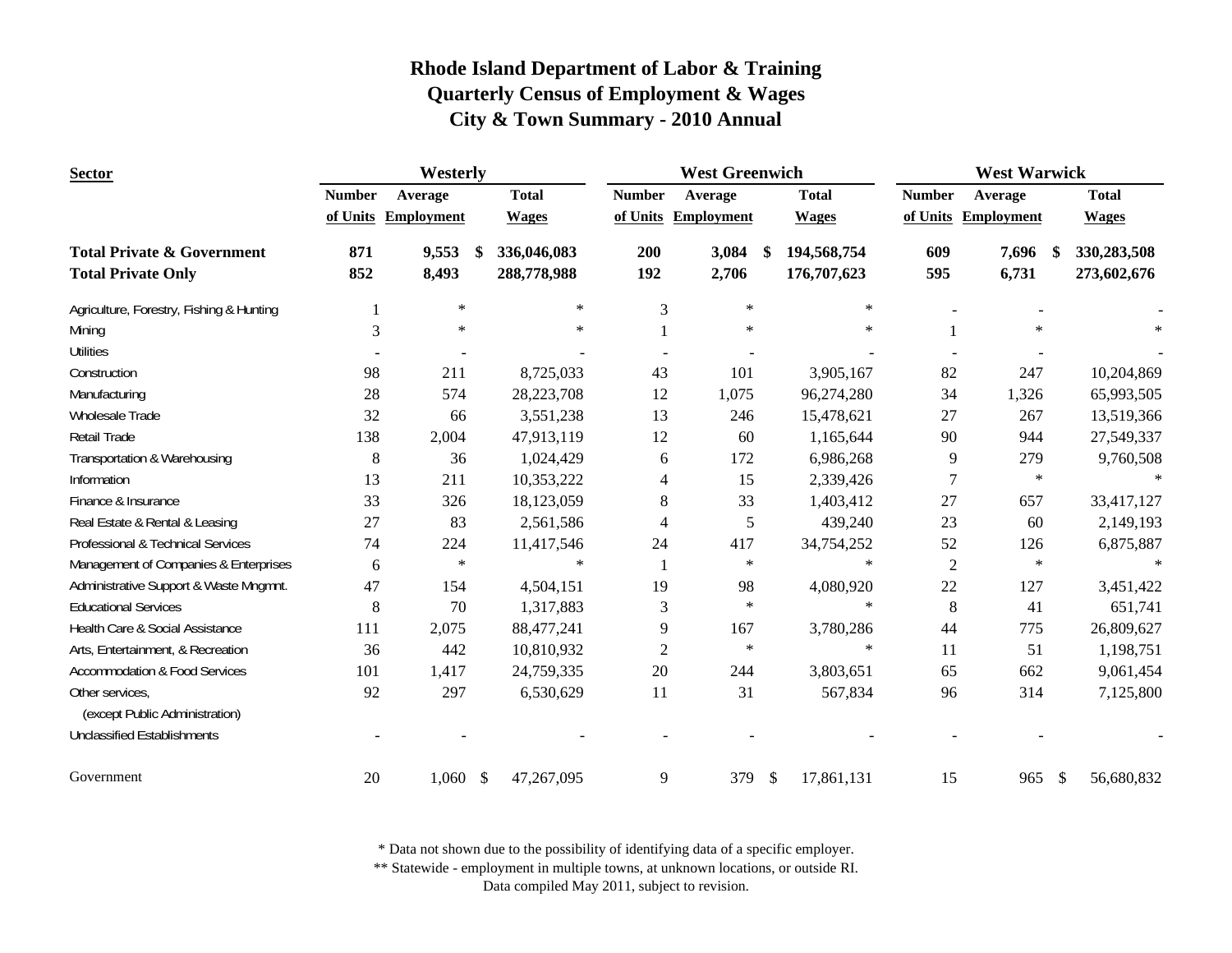| <b>Sector</b>                                                      | Westerly      |                     |   |                            |                | <b>West Greenwich</b> |               | <b>West Warwick</b>        |                |                     |    |                            |
|--------------------------------------------------------------------|---------------|---------------------|---|----------------------------|----------------|-----------------------|---------------|----------------------------|----------------|---------------------|----|----------------------------|
|                                                                    | <b>Number</b> | Average             |   | <b>Total</b>               | <b>Number</b>  | Average               |               | <b>Total</b>               | <b>Number</b>  | Average             |    | <b>Total</b>               |
|                                                                    |               | of Units Employment |   | <b>Wages</b>               |                | of Units Employment   |               | <b>Wages</b>               |                | of Units Employment |    | <b>Wages</b>               |
| <b>Total Private &amp; Government</b><br><b>Total Private Only</b> | 871<br>852    | 9,553<br>8,493      | S | 336,046,083<br>288,778,988 | 200<br>192     | 3,084<br>2,706        | \$            | 194,568,754<br>176,707,623 | 609<br>595     | 7,696<br>6,731      | S. | 330,283,508<br>273,602,676 |
| Agriculture, Forestry, Fishing & Hunting                           |               | $\ast$              |   | $\star$                    | 3              | $\ast$                |               | $\ast$                     |                |                     |    |                            |
| Mining                                                             | 3             | $\ast$              |   | $\star$                    |                | $\ast$                |               | $\ast$                     |                | $\star$             |    |                            |
| <b>Utilities</b>                                                   |               |                     |   |                            |                |                       |               |                            |                |                     |    |                            |
| Construction                                                       | 98            | 211                 |   | 8,725,033                  | 43             | 101                   |               | 3,905,167                  | 82             | 247                 |    | 10,204,869                 |
| Manufacturing                                                      | 28            | 574                 |   | 28,223,708                 | 12             | 1,075                 |               | 96,274,280                 | 34             | 1,326               |    | 65,993,505                 |
| Wholesale Trade                                                    | 32            | 66                  |   | 3,551,238                  | 13             | 246                   |               | 15,478,621                 | 27             | 267                 |    | 13,519,366                 |
| Retail Trade                                                       | 138           | 2,004               |   | 47,913,119                 | 12             | 60                    |               | 1,165,644                  | 90             | 944                 |    | 27,549,337                 |
| Transportation & Warehousing                                       | $8\,$         | 36                  |   | 1,024,429                  | 6              | 172                   |               | 6,986,268                  | 9              | 279                 |    | 9,760,508                  |
| Information                                                        | 13            | 211                 |   | 10,353,222                 | 4              | 15                    |               | 2,339,426                  | $\overline{7}$ | $\star$             |    |                            |
| Finance & Insurance                                                | 33            | 326                 |   | 18,123,059                 | $8\,$          | 33                    |               | 1,403,412                  | 27             | 657                 |    | 33,417,127                 |
| Real Estate & Rental & Leasing                                     | 27            | 83                  |   | 2,561,586                  | 4              | 5                     |               | 439,240                    | 23             | 60                  |    | 2,149,193                  |
| Professional & Technical Services                                  | 74            | 224                 |   | 11,417,546                 | 24             | 417                   |               | 34,754,252                 | 52             | 126                 |    | 6,875,887                  |
| Management of Companies & Enterprises                              | 6             | $\ast$              |   | $\ast$                     | 1              | $\ast$                |               | $\ast$                     | $\overline{2}$ | $\ast$              |    | $\ast$                     |
| Administrative Support & Waste Mngmnt.                             | 47            | 154                 |   | 4,504,151                  | 19             | 98                    |               | 4,080,920                  | 22             | 127                 |    | 3,451,422                  |
| <b>Educational Services</b>                                        | 8             | 70                  |   | 1,317,883                  | 3              | $\ast$                |               | $\ast$                     | 8              | 41                  |    | 651,741                    |
| Health Care & Social Assistance                                    | 111           | 2,075               |   | 88,477,241                 | 9              | 167                   |               | 3,780,286                  | 44             | 775                 |    | 26,809,627                 |
| Arts, Entertainment, & Recreation                                  | 36            | 442                 |   | 10,810,932                 | $\overline{c}$ | $\ast$                |               | $\ast$                     | 11             | 51                  |    | 1,198,751                  |
| <b>Accommodation &amp; Food Services</b>                           | 101           | 1,417               |   | 24,759,335                 | 20             | 244                   |               | 3,803,651                  | 65             | 662                 |    | 9,061,454                  |
| Other services,<br>(except Public Administration)                  | 92            | 297                 |   | 6,530,629                  | 11             | 31                    |               | 567,834                    | 96             | 314                 |    | 7,125,800                  |
| <b>Unclassified Establishments</b>                                 |               |                     |   |                            |                |                       |               |                            |                |                     |    |                            |
| Government                                                         | 20            | $1,060$ \$          |   | 47,267,095                 | 9              | 379                   | $\mathcal{S}$ | 17,861,131                 | 15             | 965                 | \$ | 56,680,832                 |

\* Data not shown due to the possibility of identifying data of a specific employer.

\*\* Statewide - employment in multiple towns, at unknown locations, or outside RI.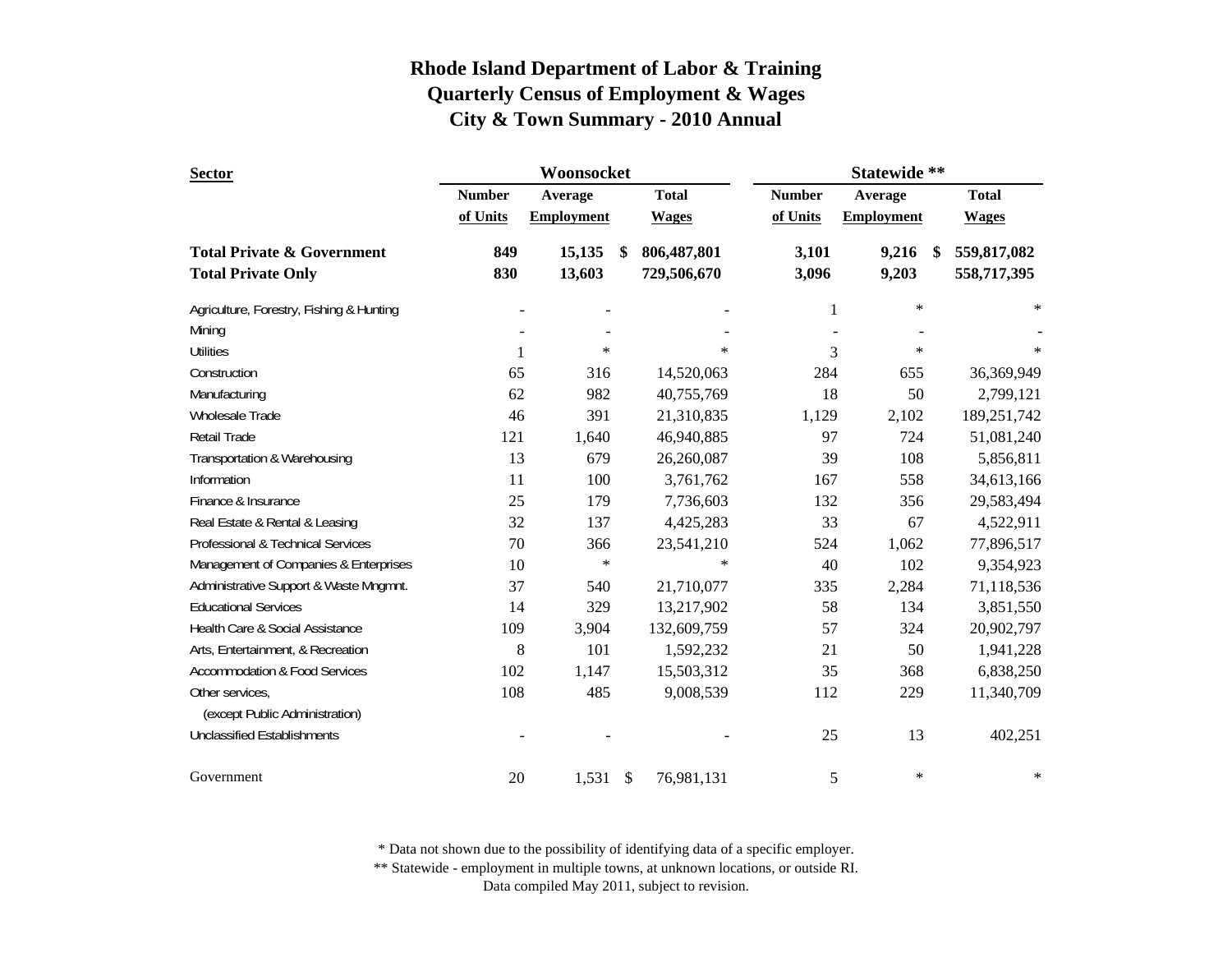| <b>Sector</b>                            |               | Woonsocket        |               |              | Statewide **  |                   |               |              |
|------------------------------------------|---------------|-------------------|---------------|--------------|---------------|-------------------|---------------|--------------|
|                                          | <b>Number</b> | Average           |               | <b>Total</b> | <b>Number</b> | Average           |               | <b>Total</b> |
|                                          | of Units      | <b>Employment</b> |               | <b>Wages</b> | of Units      | <b>Employment</b> |               | <b>Wages</b> |
| <b>Total Private &amp; Government</b>    | 849           | 15,135            | <sup>\$</sup> | 806,487,801  | 3,101         | 9,216             | <sup>\$</sup> | 559,817,082  |
| <b>Total Private Only</b>                | 830           | 13,603            |               | 729,506,670  | 3,096         | 9,203             |               | 558,717,395  |
| Agriculture, Forestry, Fishing & Hunting |               |                   |               |              | 1             | $\ast$            |               | $\ast$       |
| Mining                                   |               |                   |               |              |               |                   |               |              |
| <b>Utilities</b>                         | 1             | $\ast$            |               | $\ast$       | 3             | $\ast$            |               | $\ast$       |
| Construction                             | 65            | 316               |               | 14,520,063   | 284           | 655               |               | 36,369,949   |
| Manufacturing                            | 62            | 982               |               | 40,755,769   | 18            | 50                |               | 2,799,121    |
| Wholesale Trade                          | 46            | 391               |               | 21,310,835   | 1,129         | 2,102             |               | 189,251,742  |
| Retail Trade                             | 121           | 1,640             |               | 46,940,885   | 97            | 724               |               | 51,081,240   |
| Transportation & Warehousing             | 13            | 679               |               | 26,260,087   | 39            | 108               |               | 5,856,811    |
| Information                              | 11            | 100               |               | 3,761,762    | 167           | 558               |               | 34,613,166   |
| Finance & Insurance                      | 25            | 179               |               | 7,736,603    | 132           | 356               |               | 29,583,494   |
| Real Estate & Rental & Leasing           | 32            | 137               |               | 4,425,283    | 33            | 67                |               | 4,522,911    |
| Professional & Technical Services        | 70            | 366               |               | 23,541,210   | 524           | 1,062             |               | 77,896,517   |
| Management of Companies & Enterprises    | 10            | $\ast$            |               | $\ast$       | 40            | 102               |               | 9,354,923    |
| Administrative Support & Waste Mngmnt.   | 37            | 540               |               | 21,710,077   | 335           | 2,284             |               | 71,118,536   |
| <b>Educational Services</b>              | 14            | 329               |               | 13,217,902   | 58            | 134               |               | 3,851,550    |
| Health Care & Social Assistance          | 109           | 3,904             |               | 132,609,759  | 57            | 324               |               | 20,902,797   |
| Arts, Entertainment, & Recreation        | 8             | 101               |               | 1,592,232    | 21            | 50                |               | 1,941,228    |
| <b>Accommodation &amp; Food Services</b> | 102           | 1,147             |               | 15,503,312   | 35            | 368               |               | 6,838,250    |
| Other services,                          | 108           | 485               |               | 9,008,539    | 112           | 229               |               | 11,340,709   |
| (except Public Administration)           |               |                   |               |              |               |                   |               |              |
| <b>Unclassified Establishments</b>       |               |                   |               |              | 25            | 13                |               | 402,251      |
| Government                               | 20            | 1,531             | \$            | 76,981,131   | 5             | $\ast$            |               | $\ast$       |

\* Data not shown due to the possibility of identifying data of a specific employer.

\*\* Statewide - employment in multiple towns, at unknown locations, or outside RI.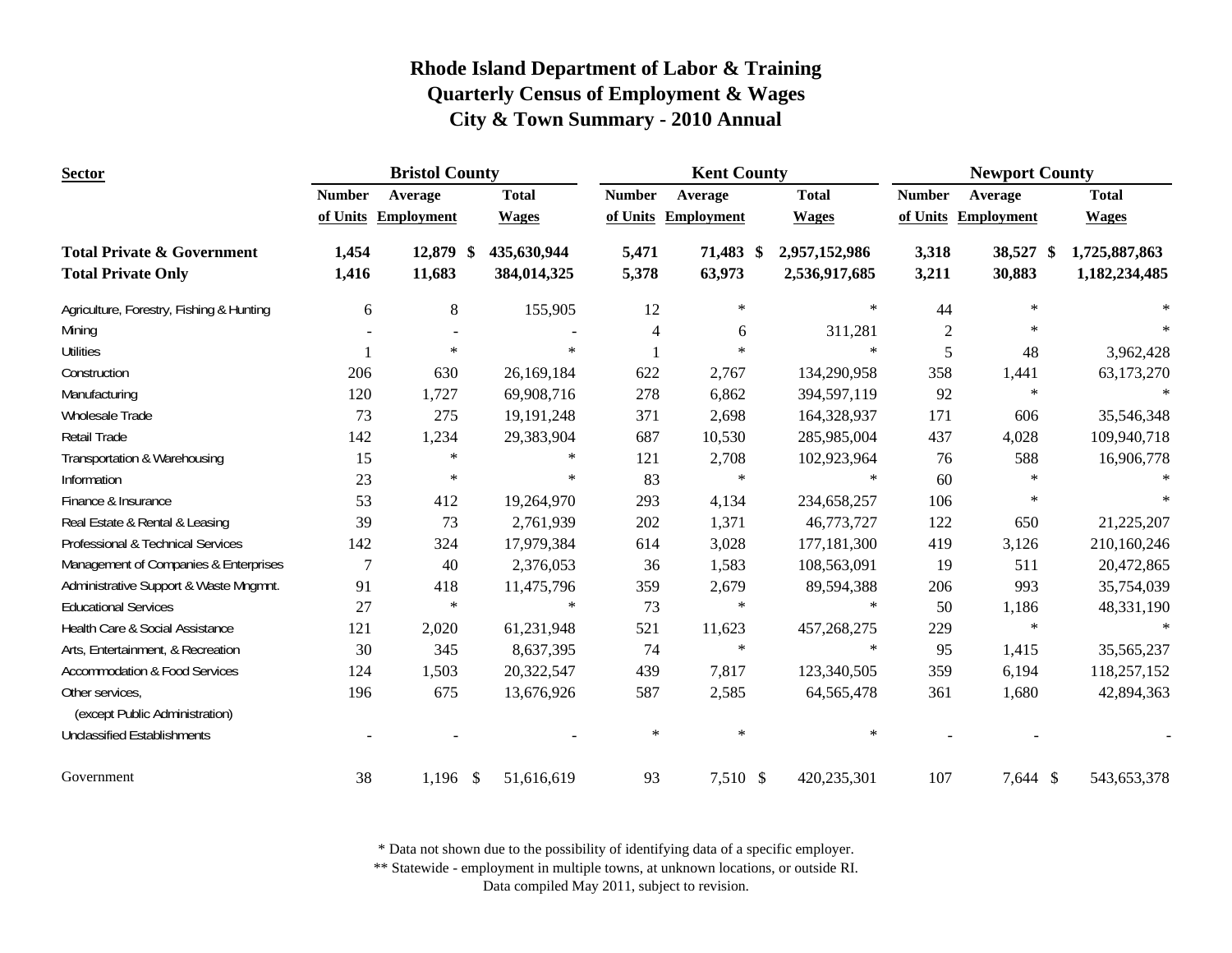| <b>Sector</b>                                     |               | <b>Bristol County</b> |              |               | <b>Kent County</b>  |               | <b>Newport County</b> |                     |               |  |
|---------------------------------------------------|---------------|-----------------------|--------------|---------------|---------------------|---------------|-----------------------|---------------------|---------------|--|
|                                                   | <b>Number</b> | Average               | <b>Total</b> | <b>Number</b> | Average             | <b>Total</b>  | <b>Number</b>         | Average             | <b>Total</b>  |  |
|                                                   |               | of Units Employment   | <b>Wages</b> |               | of Units Employment | <b>Wages</b>  |                       | of Units Employment | <b>Wages</b>  |  |
| <b>Total Private &amp; Government</b>             | 1,454         | 12,879 \$             | 435,630,944  | 5,471         | 71,483 \$           | 2,957,152,986 | 3,318                 | 38,527 \$           | 1,725,887,863 |  |
| <b>Total Private Only</b>                         | 1,416         | 11,683                | 384,014,325  | 5,378         | 63,973              | 2,536,917,685 | 3,211                 | 30,883              | 1,182,234,485 |  |
| Agriculture, Forestry, Fishing & Hunting          | 6             | $\,8\,$               | 155,905      | 12            | $\ast$              | $\ast$        | 44                    | $\star$             |               |  |
| Mining                                            |               |                       |              | 4             | 6                   | 311,281       | $\mathfrak{2}$        | $\ast$              |               |  |
| <b>Utilities</b>                                  |               | $\ast$                | $\ast$       |               | $\ast$              | $\ast$        | 5                     | 48                  | 3,962,428     |  |
| Construction                                      | 206           | 630                   | 26,169,184   | 622           | 2,767               | 134,290,958   | 358                   | 1,441               | 63,173,270    |  |
| Manufacturing                                     | 120           | 1,727                 | 69,908,716   | 278           | 6,862               | 394,597,119   | 92                    | $\ast$              |               |  |
| Wholesale Trade                                   | 73            | 275                   | 19, 191, 248 | 371           | 2,698               | 164,328,937   | 171                   | 606                 | 35,546,348    |  |
| <b>Retail Trade</b>                               | 142           | 1,234                 | 29,383,904   | 687           | 10,530              | 285,985,004   | 437                   | 4,028               | 109,940,718   |  |
| Transportation & Warehousing                      | 15            | $\ast$                | $\ast$       | 121           | 2,708               | 102,923,964   | 76                    | 588                 | 16,906,778    |  |
| Information                                       | 23            | $\ast$                | $\ast$       | 83            | $\ast$              | $\ast$        | 60                    | $\star$             |               |  |
| Finance & Insurance                               | 53            | 412                   | 19,264,970   | 293           | 4,134               | 234,658,257   | 106                   | $\ast$              | $\ast$        |  |
| Real Estate & Rental & Leasing                    | 39            | 73                    | 2,761,939    | 202           | 1,371               | 46,773,727    | 122                   | 650                 | 21,225,207    |  |
| Professional & Technical Services                 | 142           | 324                   | 17,979,384   | 614           | 3,028               | 177,181,300   | 419                   | 3,126               | 210,160,246   |  |
| Management of Companies & Enterprises             | 7             | 40                    | 2,376,053    | 36            | 1,583               | 108,563,091   | 19                    | 511                 | 20,472,865    |  |
| Administrative Support & Waste Mngmnt.            | 91            | 418                   | 11,475,796   | 359           | 2,679               | 89,594,388    | 206                   | 993                 | 35,754,039    |  |
| <b>Educational Services</b>                       | 27            | $\ast$                | $\ast$       | 73            | $\ast$              | $\ast$        | 50                    | 1,186               | 48,331,190    |  |
| Health Care & Social Assistance                   | 121           | 2,020                 | 61,231,948   | 521           | 11,623              | 457,268,275   | 229                   | $\ast$              |               |  |
| Arts, Entertainment, & Recreation                 | 30            | 345                   | 8,637,395    | 74            | $\ast$              | $\ast$        | 95                    | 1,415               | 35,565,237    |  |
| <b>Accommodation &amp; Food Services</b>          | 124           | 1,503                 | 20,322,547   | 439           | 7,817               | 123,340,505   | 359                   | 6,194               | 118,257,152   |  |
| Other services,<br>(except Public Administration) | 196           | 675                   | 13,676,926   | 587           | 2,585               | 64, 565, 478  | 361                   | 1,680               | 42,894,363    |  |
| <b>Unclassified Establishments</b>                |               |                       |              | $\ast$        | $\ast$              | $\ast$        |                       |                     |               |  |
| Government                                        | 38            | $1,196$ \$            | 51,616,619   | 93            | 7,510 \$            | 420,235,301   | 107                   | 7,644 \$            | 543,653,378   |  |

\* Data not shown due to the possibility of identifying data of a specific employer.

\*\* Statewide - employment in multiple towns, at unknown locations, or outside RI.